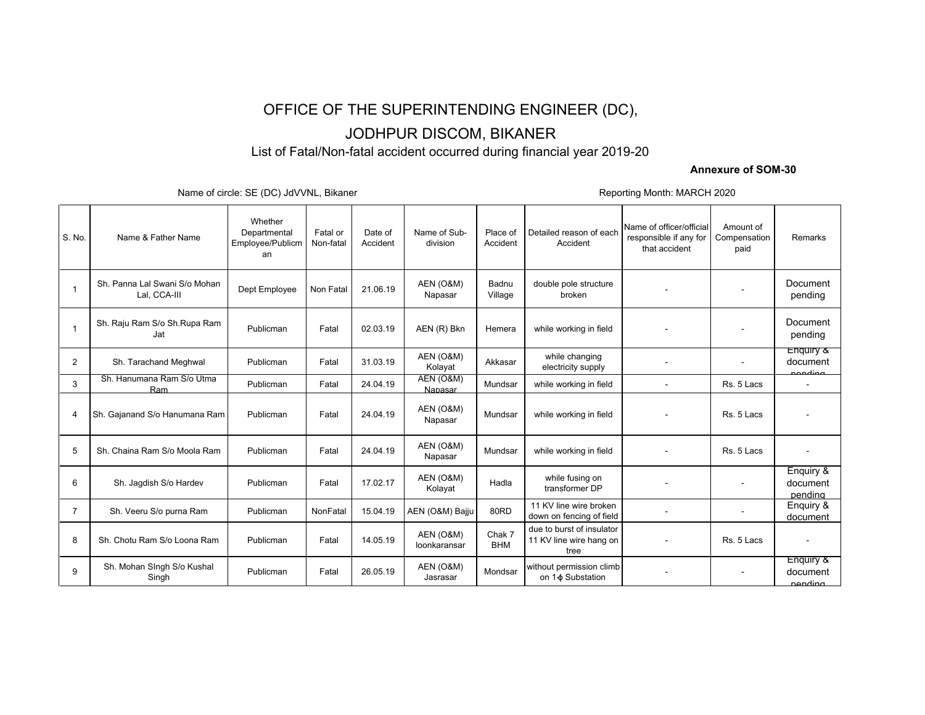## OFFICE OF THE SUPERINTENDING ENGINEER (DC),

# JODHPUR DISCOM, BIKANER

List of Fatal/Non-fatal accident occurred during financial year 2019-20

### **Annexure of SOM-30**

Name of circle: SE (DC) JdVVNL, Bikaner **Reporting Month: MARCH 2020** 

| S. No.         | Name & Father Name                            | Whether<br>Departmental<br>Employee/Publicm<br>an | Fatal or<br>Non-fatal | Date of<br>Accident | Name of Sub-<br>division        | Place of<br>Accident | Detailed reason of each<br>Accident                          | Name of officer/official<br>responsible if any for<br>that accident | Amount of<br>Compensation<br>paid | Remarks                          |
|----------------|-----------------------------------------------|---------------------------------------------------|-----------------------|---------------------|---------------------------------|----------------------|--------------------------------------------------------------|---------------------------------------------------------------------|-----------------------------------|----------------------------------|
| -1             | Sh. Panna Lal Swani S/o Mohan<br>Lal, CCA-III | Dept Employee                                     | Non Fatal             | 21.06.19            | <b>AEN (O&amp;M)</b><br>Napasar | Badnu<br>Village     | double pole structure<br>broken                              |                                                                     |                                   | Document<br>pending              |
| $\mathbf{1}$   | Sh. Raju Ram S/o Sh. Rupa Ram<br>Jat          | Publicman                                         | Fatal                 | 02.03.19            | AEN (R) Bkn                     | Hemera               | while working in field                                       |                                                                     |                                   | Document<br>pending              |
| $\overline{2}$ | Sh. Tarachand Meghwal                         | Publicman                                         | Fatal                 | 31.03.19            | AEN (O&M)<br>Kolayat            | Akkasar              | while changing<br>electricity supply                         |                                                                     |                                   | Enquiry &<br>document<br>agading |
| 3              | Sh. Hanumana Ram S/o Utma<br>Ram              | Publicman                                         | Fatal                 | 24.04.19            | AEN (O&M)<br>Napasar            | Mundsar              | while working in field                                       |                                                                     | Rs. 5 Lacs                        | $\overline{\phantom{a}}$         |
| 4              | Sh. Gajanand S/o Hanumana Ram                 | Publicman                                         | Fatal                 | 24.04.19            | AEN (O&M)<br>Napasar            | Mundsar              | while working in field                                       |                                                                     | Rs. 5 Lacs                        |                                  |
| 5              | Sh. Chaina Ram S/o Moola Ram                  | Publicman                                         | Fatal                 | 24.04.19            | AEN (O&M)<br>Napasar            | Mundsar              | while working in field                                       |                                                                     | Rs. 5 Lacs                        |                                  |
| 6              | Sh. Jagdish S/o Hardev                        | Publicman                                         | Fatal                 | 17.02.17            | AEN (O&M)<br>Kolayat            | Hadla                | while fusing on<br>transformer DP                            |                                                                     |                                   | Enquiry &<br>document<br>pendina |
| $\overline{7}$ | Sh. Veeru S/o purna Ram                       | Publicman                                         | NonFatal              | 15.04.19            | AEN (O&M) Bajju                 | 80RD                 | 11 KV line wire broken<br>down on fencing of field           |                                                                     |                                   | Enguiry &<br>document            |
| 8              | Sh. Chotu Ram S/o Loona Ram                   | Publicman                                         | Fatal                 | 14.05.19            | AEN (O&M)<br>loonkaransar       | Chak 7<br><b>BHM</b> | due to burst of insulator<br>11 KV line wire hang on<br>tree |                                                                     | Rs. 5 Lacs                        |                                  |
| 9              | Sh. Mohan Singh S/o Kushal<br>Singh           | Publicman                                         | Fatal                 | 26.05.19            | AEN (O&M)<br>Jasrasar           | Mondsar              | without permission climb<br>on 1- $\phi$ Substation          |                                                                     |                                   | Enquiry &<br>document<br>nending |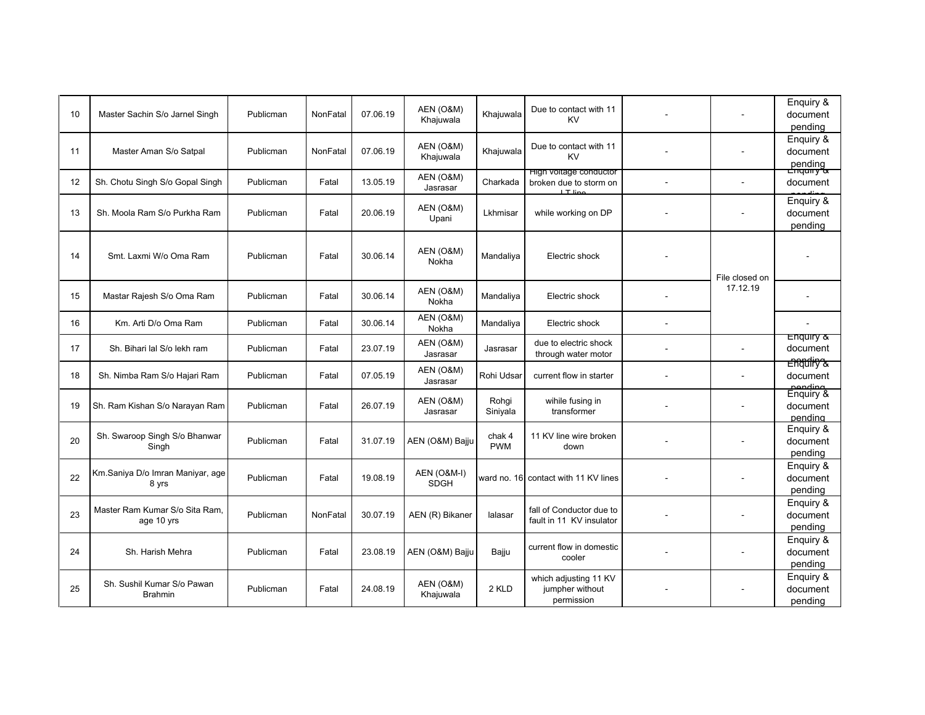| 10 | Master Sachin S/o Jarnel Singh               | Publicman | NonFatal | 07.06.19 | AEN (O&M)<br>Khajuwala                | Khajuwala            | Due to contact with 11<br><b>KV</b>                           |        |                            | Enquiry &<br>document<br>pending              |
|----|----------------------------------------------|-----------|----------|----------|---------------------------------------|----------------------|---------------------------------------------------------------|--------|----------------------------|-----------------------------------------------|
| 11 | Master Aman S/o Satpal                       | Publicman | NonFatal | 07.06.19 | AEN (O&M)<br>Khajuwala                | Khajuwala            | Due to contact with 11<br><b>KV</b>                           |        |                            | Enquiry &<br>document<br>pending<br>Enquiry & |
| 12 | Sh. Chotu Singh S/o Gopal Singh              | Publicman | Fatal    | 13.05.19 | AEN (O&M)<br>Jasrasar                 | Charkada             | High voltage conductor<br>broken due to storm on<br>$IT$ line |        |                            | document                                      |
| 13 | Sh. Moola Ram S/o Purkha Ram                 | Publicman | Fatal    | 20.06.19 | AEN (O&M)<br>Upani                    | Lkhmisar             | while working on DP                                           |        |                            | Enquiry &<br>document<br>pending              |
| 14 | Smt. Laxmi W/o Oma Ram                       | Publicman | Fatal    | 30.06.14 | AEN (O&M)<br>Nokha                    | Mandaliva            | Electric shock                                                |        |                            |                                               |
| 15 | Mastar Rajesh S/o Oma Ram                    | Publicman | Fatal    | 30.06.14 | AEN (O&M)<br>Nokha                    | Mandaliya            | Electric shock                                                |        | File closed on<br>17.12.19 |                                               |
| 16 | Km. Arti D/o Oma Ram                         | Publicman | Fatal    | 30.06.14 | AEN (O&M)<br>Nokha                    | Mandaliya            | Electric shock                                                | $\sim$ |                            |                                               |
| 17 | Sh. Bihari lal S/o lekh ram                  | Publicman | Fatal    | 23.07.19 | AEN (O&M)<br>Jasrasar                 | Jasrasar             | due to electric shock<br>through water motor                  |        |                            | Enquiry &<br>document                         |
| 18 | Sh. Nimba Ram S/o Hajari Ram                 | Publicman | Fatal    | 07.05.19 | AEN (O&M)<br>Jasrasar                 | Rohi Udsar           | current flow in starter                                       |        |                            | Engulity &<br>document<br>nending             |
| 19 | Sh. Ram Kishan S/o Narayan Ram               | Publicman | Fatal    | 26.07.19 | AEN (O&M)<br>Jasrasar                 | Rohqi<br>Siniyala    | wihile fusing in<br>transformer                               |        |                            | Enguiry &<br>document<br>pending              |
| 20 | Sh. Swaroop Singh S/o Bhanwar<br>Singh       | Publicman | Fatal    | 31.07.19 | AEN (O&M) Bajju                       | chak 4<br><b>PWM</b> | 11 KV line wire broken<br>down                                |        |                            | Enquiry &<br>document<br>pending              |
| 22 | Km.Saniya D/o Imran Maniyar, age<br>8 yrs    | Publicman | Fatal    | 19.08.19 | <b>AEN (O&amp;M-I)</b><br><b>SDGH</b> |                      | ward no. 16 contact with 11 KV lines                          |        |                            | Enguiry &<br>document<br>pending              |
| 23 | Master Ram Kumar S/o Sita Ram,<br>age 10 yrs | Publicman | NonFatal | 30.07.19 | AEN (R) Bikaner                       | lalasar              | fall of Conductor due to<br>fault in 11 KV insulator          |        |                            | Enquiry &<br>document<br>pending              |
| 24 | Sh. Harish Mehra                             | Publicman | Fatal    | 23.08.19 | AEN (O&M) Bajju                       | Bajju                | current flow in domestic<br>cooler                            |        |                            | Enguiry &<br>document<br>pending              |
| 25 | Sh. Sushil Kumar S/o Pawan<br><b>Brahmin</b> | Publicman | Fatal    | 24.08.19 | AEN (O&M)<br>Khajuwala                | 2 KLD                | which adjusting 11 KV<br>jumpher without<br>permission        |        |                            | Enguiry &<br>document<br>pending              |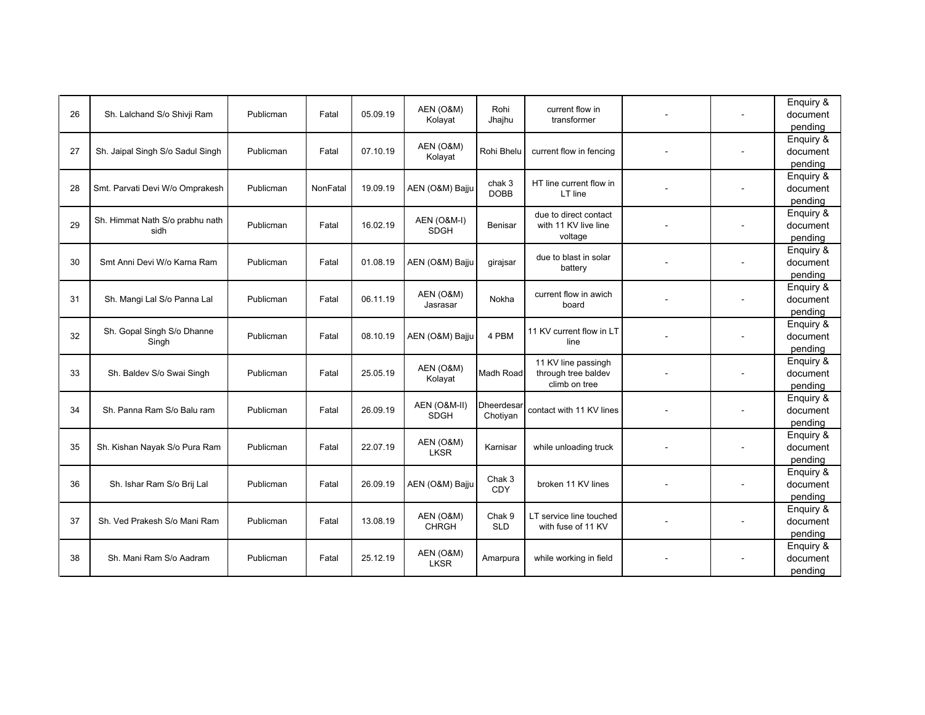| 26 | Sh. Lalchand S/o Shivji Ram      | Publicman | Fatal    | 05.09.19 | AEN (O&M)                 | Rohi                            | current flow in                               |                          | Enquiry &<br>document |
|----|----------------------------------|-----------|----------|----------|---------------------------|---------------------------------|-----------------------------------------------|--------------------------|-----------------------|
|    |                                  |           |          |          | Kolayat                   | Jhajhu                          | transformer                                   |                          | pending               |
|    |                                  |           |          |          | <b>AEN (O&amp;M)</b>      |                                 |                                               |                          | Enquiry &             |
| 27 | Sh. Jaipal Singh S/o Sadul Singh | Publicman | Fatal    | 07.10.19 | Kolayat                   | Rohi Bhelu                      | current flow in fencing                       |                          | document              |
|    |                                  |           |          |          |                           |                                 |                                               |                          | pending               |
|    | Smt. Parvati Devi W/o Omprakesh  | Publicman | NonFatal | 19.09.19 | AEN (O&M) Bajju           | chak 3                          | HT line current flow in                       |                          | Enquiry &<br>document |
| 28 |                                  |           |          |          |                           | <b>DOBB</b>                     | LT line                                       |                          | pending               |
|    |                                  |           |          |          |                           |                                 | due to direct contact                         |                          | Enquiry &             |
| 29 | Sh. Himmat Nath S/o prabhu nath  | Publicman | Fatal    | 16.02.19 | AEN (O&M-I)               | Benisar                         | with 11 KV live line                          | $\overline{\phantom{a}}$ | document              |
|    | sidh                             |           |          |          | <b>SDGH</b>               |                                 | voltage                                       |                          | pending               |
|    |                                  |           |          |          |                           |                                 |                                               |                          | Enquiry &             |
| 30 | Smt Anni Devi W/o Karna Ram      | Publicman | Fatal    | 01.08.19 | AEN (O&M) Bajju           | girajsar                        | due to blast in solar                         |                          | document              |
|    |                                  |           |          |          |                           |                                 | battery                                       |                          | pending               |
|    |                                  |           |          |          |                           |                                 |                                               |                          | Enquiry &             |
| 31 | Sh. Mangi Lal S/o Panna Lal      | Publicman | Fatal    | 06.11.19 | AEN (O&M)<br>Jasrasar     | Nokha                           | current flow in awich<br>board                |                          | document              |
|    |                                  |           |          |          |                           |                                 |                                               |                          | pending               |
|    | Sh. Gopal Singh S/o Dhanne       |           |          |          |                           |                                 | 11 KV current flow in LT                      |                          | Enquiry &             |
| 32 | Singh                            | Publicman | Fatal    | 08.10.19 | AEN (O&M) Bajju           | 4 PBM                           | line                                          |                          | document              |
|    |                                  |           |          |          |                           |                                 |                                               |                          | pending               |
|    |                                  |           |          |          | AEN (O&M)                 |                                 | 11 KV line passingh                           |                          | Enquiry &             |
| 33 | Sh. Baldev S/o Swai Singh        | Publicman | Fatal    | 25.05.19 | Kolayat                   | Madh Road                       | through tree baldev<br>climb on tree          |                          | document              |
|    |                                  |           |          |          |                           |                                 |                                               |                          | pending               |
| 34 | Sh. Panna Ram S/o Balu ram       | Publicman | Fatal    | 26.09.19 | AEN (O&M-II)              | Dheerdesar                      | contact with 11 KV lines                      |                          | Enquiry &<br>document |
|    |                                  |           |          |          | <b>SDGH</b>               | Chotiyan                        |                                               |                          | pending               |
|    |                                  |           |          |          |                           |                                 |                                               |                          | Enquiry &             |
| 35 | Sh. Kishan Nayak S/o Pura Ram    | Publicman | Fatal    | 22.07.19 | AEN (O&M)                 | Karnisar                        | while unloading truck                         |                          | document              |
|    |                                  |           |          |          | <b>LKSR</b>               |                                 |                                               |                          | pending               |
|    |                                  |           |          |          |                           |                                 |                                               |                          | Enquiry &             |
| 36 | Sh. Ishar Ram S/o Brij Lal       | Publicman | Fatal    | 26.09.19 | AEN (O&M) Bajju           | Chak 3<br>CDY                   | broken 11 KV lines                            | $\overline{\phantom{a}}$ | document              |
|    |                                  |           |          |          |                           |                                 |                                               |                          | pending               |
|    |                                  |           |          |          |                           |                                 |                                               |                          | Enquiry &             |
| 37 | Sh. Ved Prakesh S/o Mani Ram     | Publicman | Fatal    | 13.08.19 | AEN (O&M)<br><b>CHRGH</b> | Chak <sub>9</sub><br><b>SLD</b> | LT service line touched<br>with fuse of 11 KV |                          | document              |
|    |                                  |           |          |          |                           |                                 |                                               |                          | pending               |
|    |                                  |           |          |          | AEN (O&M)                 |                                 |                                               |                          | Enquiry &             |
| 38 | Sh. Mani Ram S/o Aadram          | Publicman | Fatal    | 25.12.19 | <b>LKSR</b>               | Amarpura                        | while working in field                        |                          | document              |
|    |                                  |           |          |          |                           |                                 |                                               |                          | pending               |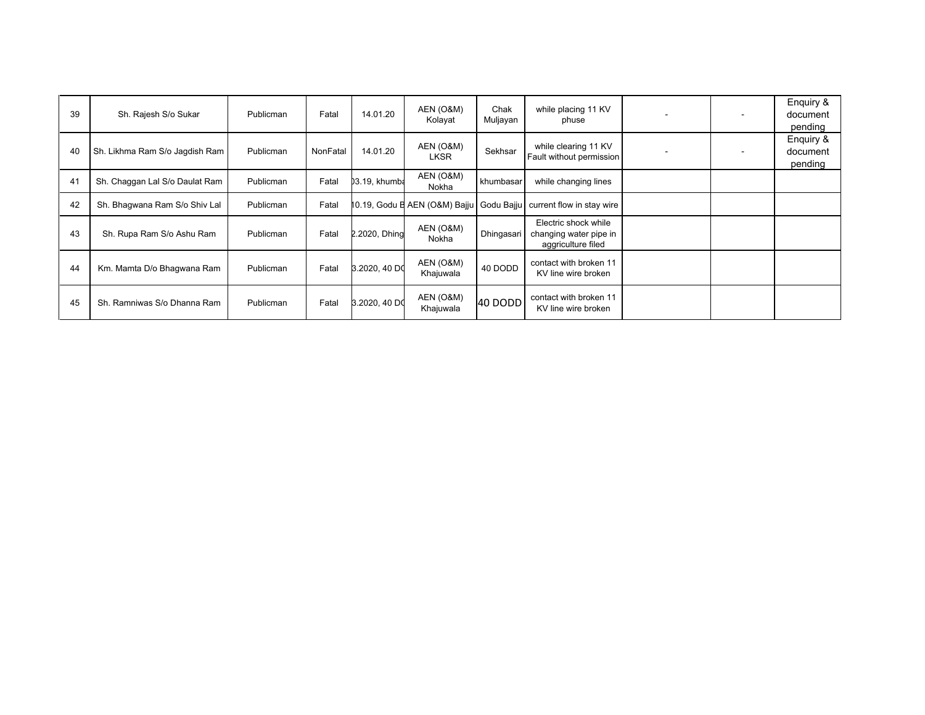| 39 | Sh. Rajesh S/o Sukar           | Publicman | Fatal    | 14.01.20      | AEN (O&M)<br>Kolayat     | Chak<br>Muljayan | while placing 11 KV<br>phuse                                           | $\overline{\phantom{a}}$ | Enquiry &<br>document<br>pending |
|----|--------------------------------|-----------|----------|---------------|--------------------------|------------------|------------------------------------------------------------------------|--------------------------|----------------------------------|
| 40 | Sh. Likhma Ram S/o Jagdish Ram | Publicman | NonFatal | 14.01.20      | AEN (O&M)<br><b>LKSR</b> | Sekhsar          | while clearing 11 KV<br>Fault without permission                       |                          | Enquiry &<br>document<br>pending |
| 41 | Sh. Chaggan Lal S/o Daulat Ram | Publicman | Fatal    | 03.19, khumba | AEN (O&M)<br>Nokha       | khumbasar        | while changing lines                                                   |                          |                                  |
| 42 | Sh. Bhagwana Ram S/o Shiv Lal  | Publicman | Fatal    |               |                          |                  | 10.19, Godu E AEN (O&M) Bajju   Godu Bajju   current flow in stay wire |                          |                                  |
| 43 | Sh. Rupa Ram S/o Ashu Ram      | Publicman | Fatal    | 2.2020, Dhing | AEN (O&M)<br>Nokha       | Dhingasari       | Electric shock while<br>changing water pipe in<br>aggriculture filed   |                          |                                  |
| 44 | Km. Mamta D/o Bhagwana Ram     | Publicman | Fatal    | 3.2020, 40 DO | AEN (O&M)<br>Khajuwala   | 40 DODD          | contact with broken 11<br>KV line wire broken                          |                          |                                  |
| 45 | Sh. Ramniwas S/o Dhanna Ram    | Publicman | Fatal    | 3.2020, 40 DO | AEN (O&M)<br>Khajuwala   | 40 DODD          | contact with broken 11<br>KV line wire broken                          |                          |                                  |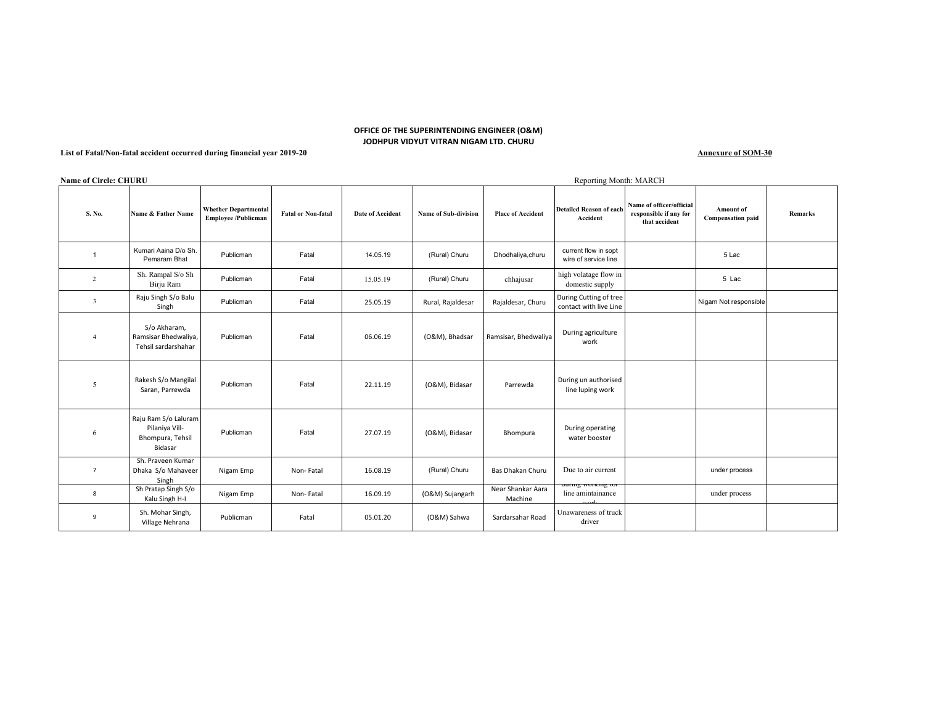#### **OFFICE OF THE SUPERINTENDING ENGINEER (O&M) JODHPUR VIDYUT VITRAN NIGAM LTD. CHURU**

#### **List of Fatal/Non-fatal accident occurred during financial year 2019-20**

**Annexure of SOM-30**

|                         | <b>Name of Circle: CHURU</b><br>Reporting Month: MARCH                |                                                           |                           |                  |                             |                              |                                                  |                                                                     |                                       |         |  |  |
|-------------------------|-----------------------------------------------------------------------|-----------------------------------------------------------|---------------------------|------------------|-----------------------------|------------------------------|--------------------------------------------------|---------------------------------------------------------------------|---------------------------------------|---------|--|--|
| S. No.                  | Name & Father Name                                                    | <b>Whether Departmental</b><br><b>Employee /Publicman</b> | <b>Fatal or Non-fatal</b> | Date of Accident | <b>Name of Sub-division</b> | <b>Place of Accident</b>     | <b>Detailed Reason of each</b><br>Accident       | Name of officer/official<br>responsible if any for<br>that accident | Amount of<br><b>Compensation paid</b> | Remarks |  |  |
| $\mathbf{1}$            | Kumari Aaina D/o Sh.<br>Pemaram Bhat                                  | Publicman                                                 | Fatal                     | 14.05.19         | (Rural) Churu               | Dhodhaliya, churu            | current flow in sopt<br>wire of service line     |                                                                     | 5 Lac                                 |         |  |  |
| $\overline{2}$          | Sh. Rampal S/o Sh<br>Birju Ram                                        | Publicman                                                 | Fatal                     | 15.05.19         | (Rural) Churu               | chhajusar                    | high volatage flow in<br>domestic supply         |                                                                     | 5 Lac                                 |         |  |  |
| $\overline{\mathbf{3}}$ | Raju Singh S/o Balu<br>Singh                                          | Publicman                                                 | Fatal                     | 25.05.19         | Rural, Rajaldesar           | Rajaldesar, Churu            | During Cutting of tree<br>contact with live Line |                                                                     | Nigam Not responsible                 |         |  |  |
| $\overline{4}$          | S/o Akharam,<br>Ramsisar Bhedwaliya,<br>Tehsil sardarshahar           | Publicman                                                 | Fatal                     | 06.06.19         | (O&M), Bhadsar              | Ramsisar, Bhedwaliya         | During agriculture<br>work                       |                                                                     |                                       |         |  |  |
| 5                       | Rakesh S/o Mangilal<br>Saran, Parrewda                                | Publicman                                                 | Fatal                     | 22.11.19         | (O&M), Bidasar              | Parrewda                     | During un authorised<br>line luping work         |                                                                     |                                       |         |  |  |
| 6                       | Raju Ram S/o Laluram<br>Pilaniya Vill-<br>Bhompura, Tehsil<br>Bidasar | Publicman                                                 | Fatal                     | 27.07.19         | (O&M), Bidasar              | Bhompura                     | During operating<br>water booster                |                                                                     |                                       |         |  |  |
| $\overline{7}$          | Sh. Praveen Kumar<br>Dhaka S/o Mahaveer<br>Singh                      | Nigam Emp                                                 | Non-Fatal                 | 16.08.19         | (Rural) Churu               | Bas Dhakan Churu             | Due to air current                               |                                                                     | under process                         |         |  |  |
| 8                       | Sh Pratap Singh S/o<br>Kalu Singh H-I                                 | Nigam Emp                                                 | Non-Fatal                 | 16.09.19         | (O&M) Sujangarh             | Near Shankar Aara<br>Machine | auring working for<br>line amintainance          |                                                                     | under process                         |         |  |  |
| 9                       | Sh. Mohar Singh,<br>Village Nehrana                                   | Publicman                                                 | Fatal                     | 05.01.20         | (O&M) Sahwa                 | Sardarsahar Road             | Unawareness of truck<br>driver                   |                                                                     |                                       |         |  |  |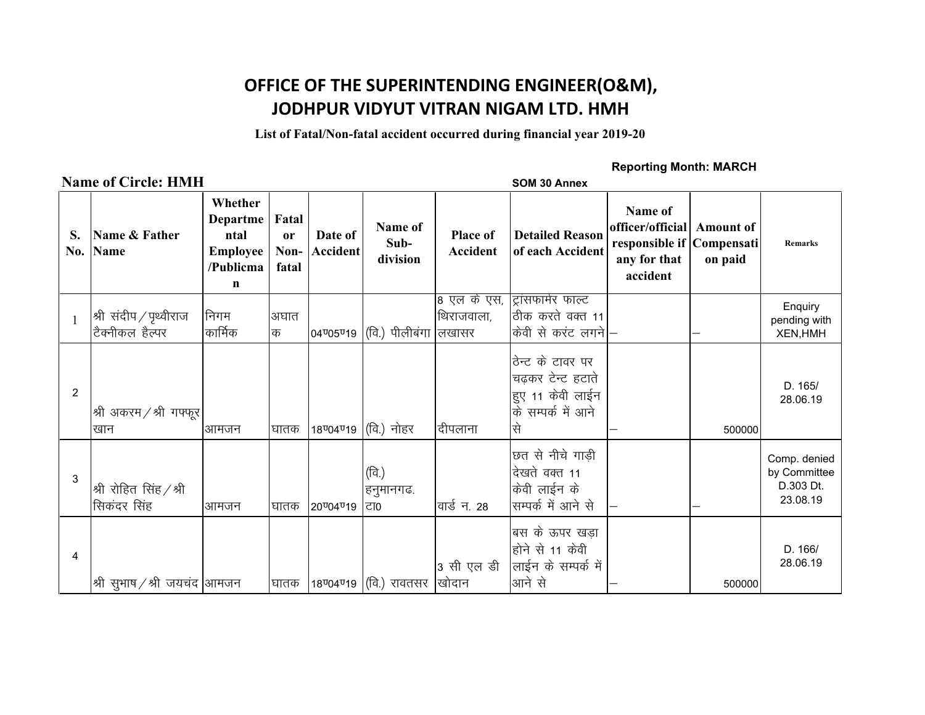# **OFFICE OF THE SUPERINTENDING ENGINEER(O&M), JODHPUR VIDYUT VITRAN NIGAM LTD. HMH**

**List of Fatal/Non-fatal accident occurred during financial year 2019-20**

### **Name of Circle: HMH** SOM 30 Annex

### **Reporting Month: MARCH**

| S.<br>No.      | Name & Father<br><b>Name</b>                 | Whether<br>Departme<br>ntal<br>Employee<br>/Publicma<br>n | Fatal<br><sub>or</sub><br>Non-<br>fatal | Date of<br><b>Accident</b> | Name of<br>Sub-<br>division                           | <b>Place of</b><br>Accident | <b>Detailed Reason</b><br>of each Accident                                           | Name of<br>officer/official<br>responsible if Compensati<br>any for that<br>accident | <b>Amount of</b><br>on paid | <b>Remarks</b>                                        |
|----------------|----------------------------------------------|-----------------------------------------------------------|-----------------------------------------|----------------------------|-------------------------------------------------------|-----------------------------|--------------------------------------------------------------------------------------|--------------------------------------------------------------------------------------|-----------------------------|-------------------------------------------------------|
| $\mathbf{1}$   | श्री संदीप $\,$ पृथ्वीराज<br>टिक्नीकल हैल्पर | निगम<br>कार्मिक                                           | अघात<br>क                               | 04 05 019                  | $ $ (वि.) पीलीबंगा लिखासर                             | 8 एल के एस,<br>थिराजवाला,   | ट्रांसफार्मर फाल्ट<br>ठीक करते वक्त 11<br>केवी से करंट लगने।                         |                                                                                      |                             | Enquiry<br>pending with<br><b>XEN, HMH</b>            |
| $\overline{2}$ | श्री अकरम / श्री गफ्फूर<br>खान               | lआमजन                                                     | घातक                                    | 18 04 019                  | $ $ (वि.) नोहर                                        | दीपलाना                     | ठेन्ट के टावर पर<br>चढकर टेन्ट हटाते<br>हुए 11 केवी लाईन<br>के सम्पर्क में आने<br>सि |                                                                                      | 500000                      | D. 165/<br>28.06.19                                   |
| 3              | श्री रोहित सिंह /श्री<br>सिकंदर सिंह         | आमजन                                                      | घातक                                    | 20 04 019                  | (वि.)<br>हनुमानगढ.<br>ਟਾ0                             | वार्ड न. 28                 | छत से नीचे गाड़ी<br>दिखते वक्त 11<br>केवी लाईन के<br>सम्पर्क में आने से              |                                                                                      |                             | Comp. denied<br>by Committee<br>D.303 Dt.<br>23.08.19 |
| 4              | श्री सुभाष / श्री जयचंद आमजन                 |                                                           | घातक                                    |                            | 18 <sup>0</sup> 04 <sup>0</sup> 19 (वि.) रावतसर खोदान | 3 सी एल डी                  | बिस के ऊपर खड़ा<br>होने से 11 केवी<br>लाईन के सम्पर्क में<br>आने से                  |                                                                                      | 500000                      | D. 166/<br>28.06.19                                   |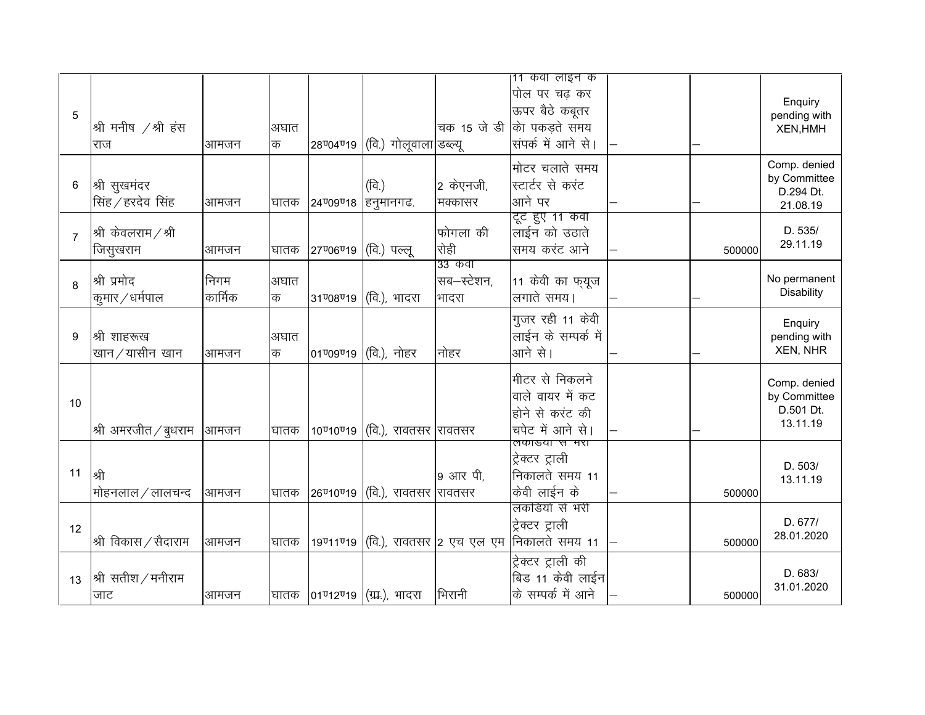| 5              | श्री मनीष /श्री हंस<br>राज                                                                                                                                        | आमजन            | अघात<br>क | 28 04 019                          | (वि.) गोलूवाला डब्ल्यू    |                            | 11 कवा लाइन क<br>पोल पर चढ़ कर<br>ऊपर बैठे कबूतर<br>चक 15 जे डी को पकड़ते समय<br>संपर्क में आने से। |        | Enquiry<br>pending with<br><b>XEN, HMH</b>            |
|----------------|-------------------------------------------------------------------------------------------------------------------------------------------------------------------|-----------------|-----------|------------------------------------|---------------------------|----------------------------|-----------------------------------------------------------------------------------------------------|--------|-------------------------------------------------------|
| 6              | श्री सुखमंदर<br>सिंह / हरदेव सिंह                                                                                                                                 | आमजन            | घातक      | 24 <sup>0090</sup> 18              | (वि.)<br> हनुमानगढ.       | 2 केएनजी,<br>मक्कासर       | मोटर चलाते समय<br>स्टार्टर से करंट<br>आने पर                                                        |        | Comp. denied<br>by Committee<br>D.294 Dt.<br>21.08.19 |
| $\overline{7}$ | $ \raisebox{.4ex}{\ensuremath{\times}}\raisebox{.4ex}{\hspace{.2ex}\raisebox{.4ex}{\scriptsize\textit{1}}}$ श्री केवलराम $\mathcal{\mathcal{S}}$ श्री<br>जिसुखराम | आमजन            | घातक      | 27006019                           | (वि.) पल्लू               | फोगला की<br>रोही<br>33 कवी | टूट हुए 11 कवा<br>लाईन को उठाते<br>समय करंट आने                                                     | 500000 | D. 535/<br>29.11.19                                   |
| 8              | श्री प्रमोद<br>कुमार $\angle$ धर्मपाल                                                                                                                             | निगम<br>कार्मिक | अघात<br>क | 31 08 019                          | (वि.), भादरा              | सब–स्टेशन,<br>भादरा        | 11 केवी का फ़यूज<br>लगाते समय।                                                                      |        | No permanent<br>Disability                            |
| 9              | श्री शाहरूख<br>खान / यासीन खान                                                                                                                                    | आमजन            | अघात<br>क | 01 09 019                          | (वि.), नोहर               | नोहर                       | गुजर रही 11 केवी<br>लाईन के सम्पर्क में<br>आने से।                                                  |        | Enquiry<br>pending with<br><b>XEN, NHR</b>            |
| 10             | श्री अमरजीत $\,$ बुधराम                                                                                                                                           | आमजन            | घातक      | 10 <sup>0</sup> 10 <sup>0</sup> 19 | (वि.), रावतसर  रावतसर     |                            | मीटर से निकलने<br>वाले वायर में कट<br>होने से करंट की<br>चपेट में आने से।                           |        | Comp. denied<br>by Committee<br>D.501 Dt.<br>13.11.19 |
| 11             | श्री<br>मोहनलाल / लालचन्द                                                                                                                                         | आमजन            | घातक      | 26 <sup>0</sup> 10 <sup>0</sup> 19 | $ $ (वि.), रावतसर  रावतसर | 9 आर पी,                   | लकाडया स मरा<br>ट्रेक्टर ट्राली<br>निकालते समय 11<br>केवी लाईन के                                   | 500000 | D. 503/<br>13.11.19                                   |
| 12             | श्री विकास / सैदाराम                                                                                                                                              | आमजन            | घातक      | 19711719                           |                           |                            | लकडियों से भरी<br>ट्रेक्टर ट्राली<br>(वि.), रावतसर 2 एच एल एम निकालते समय 11                        | 500000 | D. 677/<br>28.01.2020                                 |
| 13             | $ \%$ सतीश $/$ मनीराम<br>जाट                                                                                                                                      | आमजन            | घातक      |                                    | 01ण2ण19 (ग्रा.), भादरा    | भिरानी                     | ट्रेक्टर ट्राली की<br>बिड 11 केवी लाईन<br>के सम्पर्क में आने                                        | 500000 | D. 683/<br>31.01.2020                                 |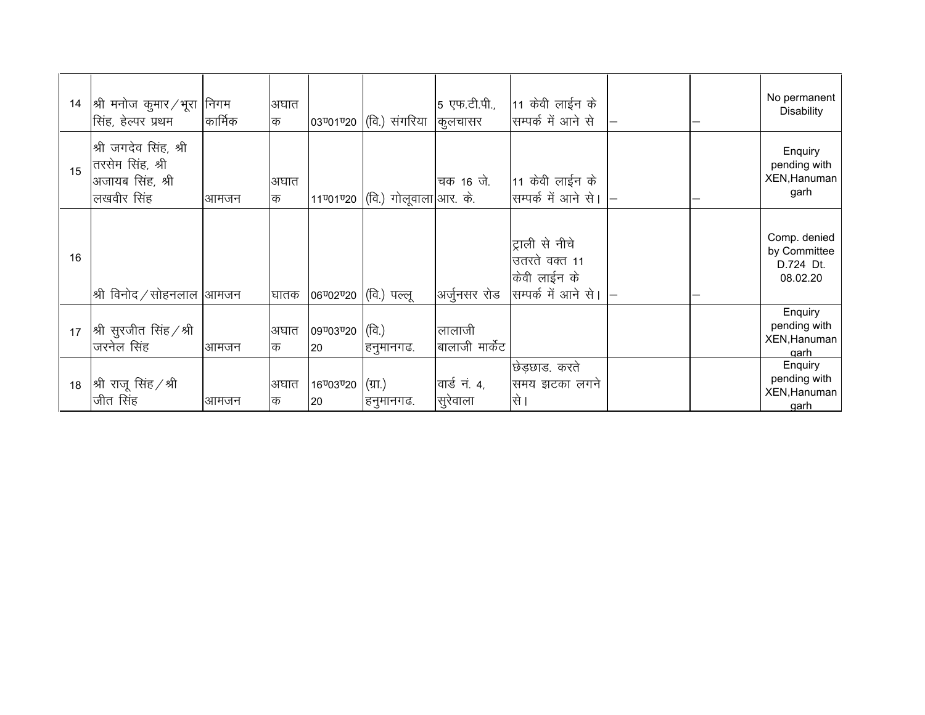| 14 | श्री मनोज कुमार ∕ भूरा ∣निगम<br>सिंह, हेल्पर प्रथम                                                                                                                                                                                        | कार्मिक | अघात<br>क |                        | 03ण्01ण्20 (वि.) संगरिया          | 5 एफ.टी.पी.,<br>कुलचासर  | $\vert$ 11 केवी लाईन के<br>सम्पर्क में आने से                           |  | No permanent<br><b>Disability</b>                     |
|----|-------------------------------------------------------------------------------------------------------------------------------------------------------------------------------------------------------------------------------------------|---------|-----------|------------------------|-----------------------------------|--------------------------|-------------------------------------------------------------------------|--|-------------------------------------------------------|
| 15 | श्री जगदेव सिंह, श्री<br>तरसेम सिंह, श्री<br>अजायब सिंह, श्री<br>लखवीर सिंह                                                                                                                                                               | आमजन    | अघात<br>क |                        | 11ण्01ण्20 (वि.) गोलूवाला आर. के. | चक 16 जे.                | $ 11\rangle$ केवी लाईन के<br>सिम्पर्क में आने से।                       |  | Enquiry<br>pending with<br>XEN, Hanuman<br>garh       |
| 16 | $ \raisebox{.4ex}{\ensuremath{\times}}\raisebox{.4ex}{\hspace{.2ex}\raisebox{.4ex}{\hspace{.2ex}\raisebox{.4ex}{\hspace{.2ex}}}}$ श्री विनोद $\mathcal{A}$ सोहनलाल $ \raisebox{.4ex}{\hspace{.2ex}\raisebox{.4ex}{\hspace{.2ex}}}}$ अामजन |         | घातक      | 06ण्02ण्20 (वि.) पल्लू |                                   | अर्जुनसर रोड             | ट्राली से नीचे<br>उतरते वक्त 11<br>केवी लाईन के<br>सिम्पर्क में आने से। |  | Comp. denied<br>by Committee<br>D.724 Dt.<br>08.02.20 |
| 17 | $ \mathcal{\Re} $ सुरजीत सिंह / श्री<br>जरनेल सिंह                                                                                                                                                                                        | आमजन    | अघात<br>क | 09 03 020<br>20        | (वि.)<br>हनुमानगढ.                | लालाजी<br>बालाजी मार्केट |                                                                         |  | Enquiry<br>pending with<br>XEN, Hanuman<br>aarh       |
| 18 | $ \mathcal{\Re} $ राजू सिंह $\angle \mathcal{\Re} $<br>जीत सिंह                                                                                                                                                                           | lआमजन   | अघात<br>क | 16 03 020<br>20        | $(\pi)$<br>'हनुमानगढ.             | वार्ड नं. 4,<br>सुरेवाला | छिड़छाड. करते<br>समय झटका लगने<br>से ।                                  |  | Enquiry<br>pending with<br>XEN, Hanuman<br>aarh       |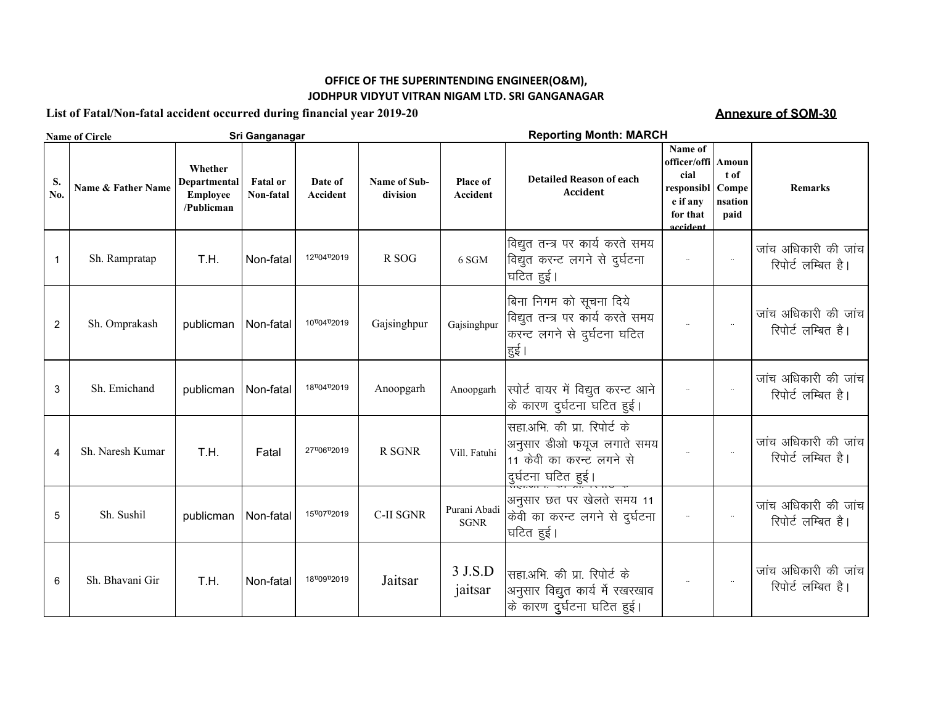### **OFFICE OF THE SUPERINTENDING ENGINEER(O&M), JODHPUR VIDYUT VITRAN NIGAM LTD. SRI GANGANAGAR**

**List of Fatal/Non-fatal accident occurred during financial year 2019-20**

**Annexure of SOM-30**

|                         | <b>Name of Circle</b> |                                                          | Sri Ganganagar               | <b>Reporting Month: MARCH</b> |                          |                             |                                                                                                             |                                                                                   |                                           |                                            |
|-------------------------|-----------------------|----------------------------------------------------------|------------------------------|-------------------------------|--------------------------|-----------------------------|-------------------------------------------------------------------------------------------------------------|-----------------------------------------------------------------------------------|-------------------------------------------|--------------------------------------------|
| S.<br>No.               | Name & Father Name    | Whether<br>Departmental<br><b>Employee</b><br>/Publicman | <b>Fatal</b> or<br>Non-fatal | Date of<br><b>Accident</b>    | Name of Sub-<br>division | Place of<br><b>Accident</b> | <b>Detailed Reason of each</b><br><b>Accident</b>                                                           | Name of<br>officer/offi<br>cial<br>responsibl<br>e if any<br>for that<br>accident | Amoun<br>t of<br>Compe<br>nsation<br>paid | <b>Remarks</b>                             |
| 1                       | Sh. Rampratap         | T.H.                                                     | Non-fatal                    | 1270472019                    | R SOG                    | 6 SGM                       | विद्युत तन्त्र पर कार्य करते समय<br>विद्युत करन्ट लगने से दुर्घटना<br>घटित हुई।                             |                                                                                   | $\ldots$                                  | जांच अधिकारी की जांच<br>रिपोर्ट लम्बित है। |
| $\overline{\mathbf{c}}$ | Sh. Omprakash         | publicman                                                | Non-fatal                    | 10 04 02019                   | Gajsinghpur              | Gajsinghpur                 | बिना निगम को सूचना दिये<br>विद्युत तन्त्र पर कार्य करते समय<br>करन्ट लगने से दुर्घटना घटित<br>हुई।          |                                                                                   | $\overline{\phantom{a}}$                  | जांच अधिकारी की जांच<br>रिपोर्ट लम्बित है। |
| 3                       | Sh. Emichand          | publicman                                                | Non-fatal                    | 1870472019                    | Anoopgarh                | Anoopgarh                   | स्पोर्ट वायर में विद्युत करन्ट आने<br>के कारण दुर्घटना घटित हुई।                                            |                                                                                   |                                           | जांच अधिकारी की जांच<br>रिपोर्ट लम्बित है। |
| 4                       | Sh. Naresh Kumar      | T.H.                                                     | Fatal                        | 27"06"2019                    | <b>R SGNR</b>            | Vill. Fatuhi                | सहा.अभि. की प्रा. रिपोर्ट के<br>अनुसार डीओ फयूज लगाते समय<br>11 केवी का करन्ट लगने से<br>दुर्घटना घटित हुई। |                                                                                   | $\sim$                                    | जांच अधिकारी की जांच<br>रिपोर्ट लम्बित है। |
| 5                       | Sh. Sushil            | publicman                                                | Non-fatal                    | 15"07"2019                    | <b>C-II SGNR</b>         | Purani Abadi<br><b>SGNR</b> | अनुसार छत पर खेलते समय 11<br>केवी का करन्ट लगने से दुर्घटना<br>।घटित हुई।                                   |                                                                                   | $\overline{\phantom{a}}$                  | जांच अधिकारी की जांच<br>रिपोर्ट लम्बित है। |
| 6                       | Sh. Bhavani Gir       | T.H.                                                     | Non-fatal                    | 1870972019                    | Jaitsar                  | 3 J.S.D<br>jaitsar          | सहा.अभि. की प्रा. रिपोर्ट के<br>अनुसार विद्युत कार्य में रखरखाव<br>के कारण दुर्घटना घटित हुई।               |                                                                                   | $\sim$                                    | जांच अधिकारी की जांच<br>रिपोर्ट लम्बित है। |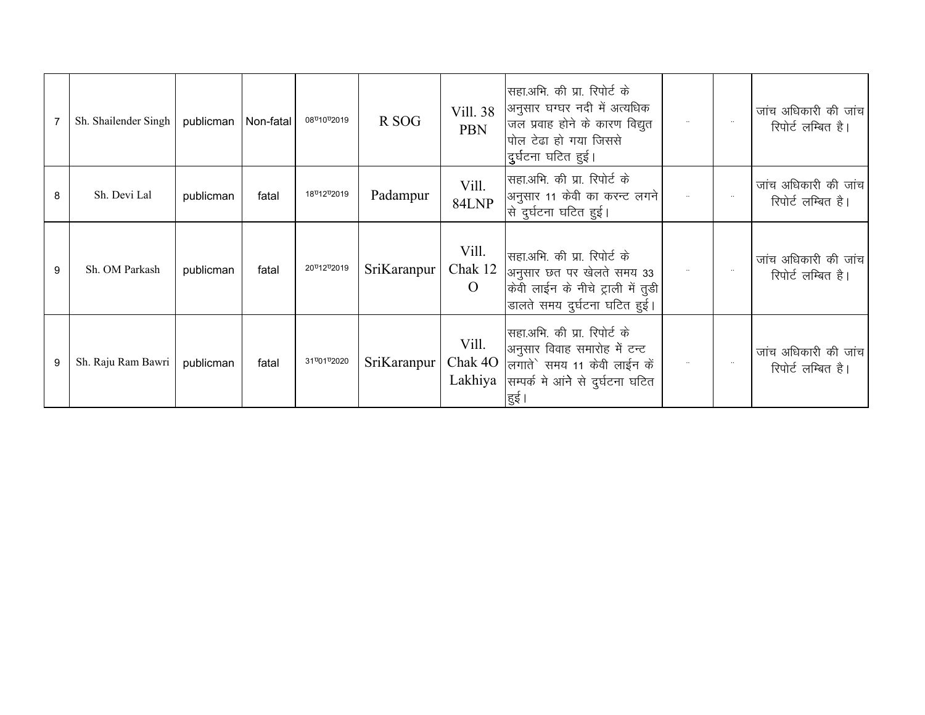|   | Sh. Shailender Singh | publicman | Non-fatal | 08 <sup>0</sup> 10 <sup>0</sup> 2019 | R SOG       | Vill. 38<br><b>PBN</b>             | सिंहा.अभि. की प्रा. रिपोर्ट के<br>अनुसार घग्घर नदी में अत्यधिक<br>जल प्रवाह होने के कारण विद्युत<br>पोल टेढा हो गया जिससे<br>दर्घटना घटित हुई। | $\cdots$ | जांच अधिकारी की जांच<br>रिपोर्ट लम्बित है। |
|---|----------------------|-----------|-----------|--------------------------------------|-------------|------------------------------------|------------------------------------------------------------------------------------------------------------------------------------------------|----------|--------------------------------------------|
| 8 | Sh. Devi Lal         | publicman | fatal     | 18 <sup>0</sup> 12 <sup>0</sup> 2019 | Padampur    | Vill.<br>84LNP                     | सहा.अभि. की प्रा. रिपोर्ट के<br>अनुसार 11 केवी का करन्ट लगने<br>से दुर्घटना घटित हुई।                                                          |          | जांच अधिकारी की जांच<br>रिपोर्ट लम्बित है। |
| 9 | Sh. OM Parkash       | publicman | fatal     | 20 012 02019                         | SriKaranpur | Vill.<br>Chak 12<br>$\overline{O}$ | सहा.अभि. की प्रा. रिपोर्ट के<br>अनुसार छत पर खेलते समय 33<br>केवी लाईन के नीचे ट्राली में तूडी<br>डालते समय दुर्घटना घटित हुई।                 |          | जांच अधिकारी की जांच<br>रिपोर्ट लम्बित है। |
|   | Sh. Raju Ram Bawri   | publicman | fatal     | 31 01 02020                          | SriKaranpur | Vill.<br>Chak 4O<br>Lakhiya        | सिंहा.अभि. की प्रा. रिपोर्ट के<br>अनुसार विवाह समारोह में टन्ट<br>लगातेे समय 11 केवी लाईन कें<br>सम्पर्क मे आंने से दुर्घटना घटित<br>हुई       |          | जांच अधिकारी की जांच<br>रिपोर्ट लम्बित है। |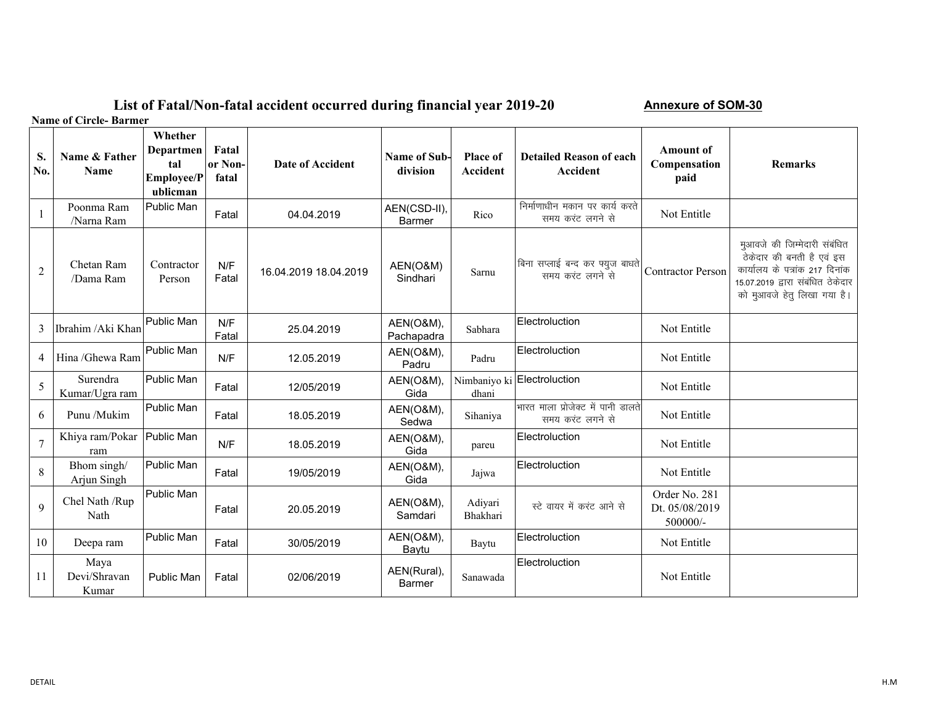### **List of Fatal/Non-fatal accident occurred during financial year 2019-20**

**Annexure of SOM-30**

**Name of Circle- Barmer**

| S.<br>No.      | Name & Father<br><b>Name</b>  | Whether<br><b>Departmen</b><br>tal<br><b>Employee/P</b><br>ublicman | Fatal<br>or Non-<br>fatal | Date of Accident      | <b>Name of Sub-</b><br>division | <b>Place of</b><br><b>Accident</b> | <b>Detailed Reason of each</b><br><b>Accident</b>      | <b>Amount of</b><br>Compensation<br>paid    | <b>Remarks</b>                                                                                                                                                  |
|----------------|-------------------------------|---------------------------------------------------------------------|---------------------------|-----------------------|---------------------------------|------------------------------------|--------------------------------------------------------|---------------------------------------------|-----------------------------------------------------------------------------------------------------------------------------------------------------------------|
|                | Poonma Ram<br>/Narna Ram      | Public Man                                                          | Fatal                     | 04.04.2019            | AEN(CSD-II),<br>Barmer          | Rico                               | निर्माणाधीन मकान पर कार्य करते<br>समय करंट लगने से     | Not Entitle                                 |                                                                                                                                                                 |
| $\overline{2}$ | Chetan Ram<br>/Dama Ram       | Contractor<br>Person                                                | N/F<br>Fatal              | 16.04.2019 18.04.2019 | AEN(O&M)<br>Sindhari            | Sarnu                              | बिना सप्लाई बन्द कर फ्युज बाधते<br>समय करंट लगने से    | <b>Contractor Person</b>                    | मुआवजे की जिम्मेदारी संबंधित<br>ठेकेदार की बनती है एवं इस<br>कार्यालय के पत्रांक 217 दिनांक<br>15.07.2019 द्वारा संबंधित ठेकेदार<br>को मुआवजे हेतु लिखा गया है। |
| 3              | Ibrahim / Aki Khan            | Public Man                                                          | N/F<br>Fatal              | 25.04.2019            | AEN(O&M),<br>Pachapadra         | Sabhara                            | Electroluction                                         | Not Entitle                                 |                                                                                                                                                                 |
| $\overline{4}$ | Hina /Ghewa Ram               | Public Man                                                          | N/F                       | 12.05.2019            | AEN(O&M),<br>Padru              | Padru                              | Electroluction                                         | Not Entitle                                 |                                                                                                                                                                 |
| 5              | Surendra<br>Kumar/Ugra ram    | Public Man                                                          | Fatal                     | 12/05/2019            | AEN(O&M),<br>Gida               | dhani                              | Nimbaniyo ki Electroluction                            | Not Entitle                                 |                                                                                                                                                                 |
| 6              | Punu /Mukim                   | Public Man                                                          | Fatal                     | 18.05.2019            | AEN(O&M),<br>Sedwa              | Sihaniya                           | भारत माला प्रोजेक्ट में पानी डालते<br>समय करंट लगने से | Not Entitle                                 |                                                                                                                                                                 |
| $\overline{7}$ | Khiya ram/Pokar<br>ram        | Public Man                                                          | N/F                       | 18.05.2019            | AEN(O&M),<br>Gida               | pareu                              | Electroluction                                         | Not Entitle                                 |                                                                                                                                                                 |
| 8              | Bhom singh/<br>Arjun Singh    | Public Man                                                          | Fatal                     | 19/05/2019            | AEN(O&M),<br>Gida               | Jajwa                              | Electroluction                                         | Not Entitle                                 |                                                                                                                                                                 |
| $\overline{9}$ | Chel Nath /Rup<br>Nath        | Public Man                                                          | Fatal                     | 20.05.2019            | AEN(O&M),<br>Samdari            | Adiyari<br>Bhakhari                | स्टे वायर में करंट आने से                              | Order No. 281<br>Dt. 05/08/2019<br>500000/- |                                                                                                                                                                 |
| 10             | Deepa ram                     | Public Man                                                          | Fatal                     | 30/05/2019            | AEN(O&M),<br>Baytu              | Baytu                              | Electroluction                                         | Not Entitle                                 |                                                                                                                                                                 |
| 11             | Maya<br>Devi/Shravan<br>Kumar | Public Man                                                          | Fatal                     | 02/06/2019            | AEN(Rural),<br><b>Barmer</b>    | Sanawada                           | Electroluction                                         | Not Entitle                                 |                                                                                                                                                                 |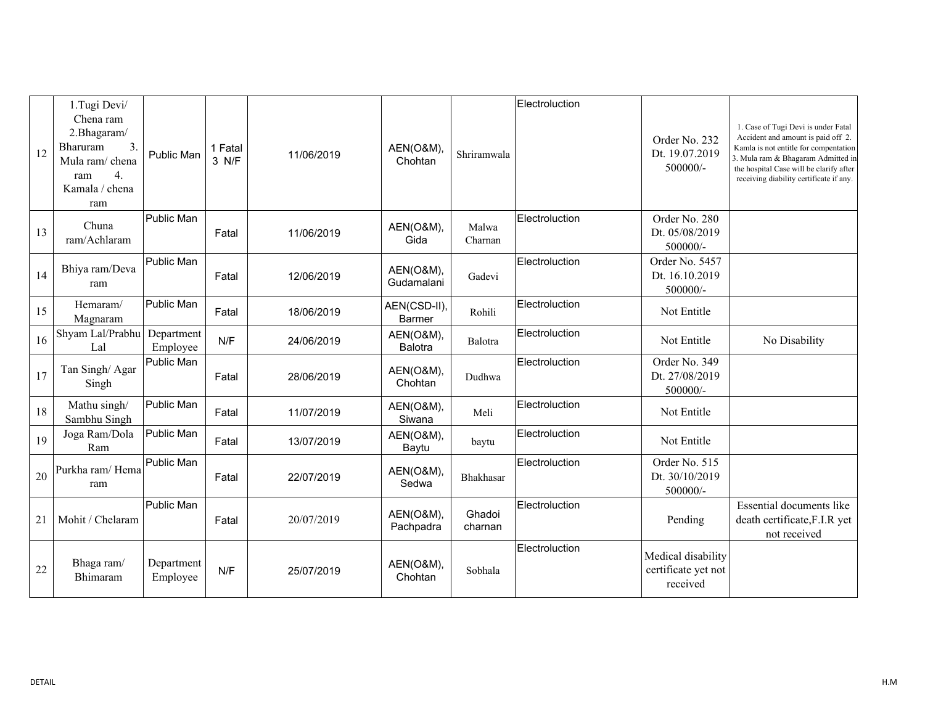| 12 | 1.Tugi Devi/<br>Chena ram<br>2.Bhagaram/<br>3.<br>Bharuram<br>Mula ram/ chena<br>$\overline{4}$ .<br>ram<br>Kamala / chena<br>ram | Public Man             | 1 Fatal<br>3 N/F | 11/06/2019 | AEN(O&M)<br>Chohtan                    | Shriramwala       | Electroluction | Order No. 232<br>Dt. 19.07.2019<br>500000/-           | 1. Case of Tugi Devi is under Fatal<br>Accident and amount is paid off 2.<br>Kamla is not entitle for compentation<br>3. Mula ram & Bhagaram Admitted in<br>the hospital Case will be clarify after<br>receiving diability certificate if any. |
|----|-----------------------------------------------------------------------------------------------------------------------------------|------------------------|------------------|------------|----------------------------------------|-------------------|----------------|-------------------------------------------------------|------------------------------------------------------------------------------------------------------------------------------------------------------------------------------------------------------------------------------------------------|
| 13 | Chuna<br>ram/Achlaram                                                                                                             | Public Man             | Fatal            | 11/06/2019 | AEN(O&M),<br>Gida                      | Malwa<br>Charnan  | Electroluction | Order No. 280<br>Dt. 05/08/2019<br>500000/-           |                                                                                                                                                                                                                                                |
| 14 | Bhiya ram/Deva<br>ram                                                                                                             | Public Man             | Fatal            | 12/06/2019 | AEN(O&M),<br>Gudamalani                | Gadevi            | Electroluction | Order No. 5457<br>Dt. 16.10.2019<br>500000/-          |                                                                                                                                                                                                                                                |
| 15 | Hemaram/<br>Magnaram                                                                                                              | Public Man             | Fatal            | 18/06/2019 | AEN(CSD-II),<br><b>Barmer</b>          | Rohili            | Electroluction | Not Entitle                                           |                                                                                                                                                                                                                                                |
| 16 | Shyam Lal/Prabhu<br>Lal                                                                                                           | Department<br>Employee | N/F              | 24/06/2019 | <b>AEN(O&amp;M),</b><br><b>Balotra</b> | Balotra           | Electroluction | Not Entitle                                           | No Disability                                                                                                                                                                                                                                  |
| 17 | Tan Singh/Agar<br>Singh                                                                                                           | Public Man             | Fatal            | 28/06/2019 | <b>AEN(O&amp;M),</b><br>Chohtan        | Dudhwa            | Electroluction | Order No. 349<br>Dt. 27/08/2019<br>500000/-           |                                                                                                                                                                                                                                                |
| 18 | Mathu singh/<br>Sambhu Singh                                                                                                      | Public Man             | Fatal            | 11/07/2019 | AEN(O&M),<br>Siwana                    | Meli              | Electroluction | Not Entitle                                           |                                                                                                                                                                                                                                                |
| 19 | Joga Ram/Dola<br>Ram                                                                                                              | Public Man             | Fatal            | 13/07/2019 | AEN(O&M),<br>Baytu                     | baytu             | Electroluction | Not Entitle                                           |                                                                                                                                                                                                                                                |
| 20 | Purkha ram/Hema<br>ram                                                                                                            | Public Man             | Fatal            | 22/07/2019 | AEN(O&M),<br>Sedwa                     | Bhakhasar         | Electroluction | Order No. 515<br>Dt. 30/10/2019<br>500000/-           |                                                                                                                                                                                                                                                |
| 21 | Mohit / Chelaram                                                                                                                  | Public Man             | Fatal            | 20/07/2019 | AEN(O&M),<br>Pachpadra                 | Ghadoi<br>charnan | Electroluction | Pending                                               | Essential documents like<br>death certificate, F.I.R yet<br>not received                                                                                                                                                                       |
| 22 | Bhaga ram/<br>Bhimaram                                                                                                            | Department<br>Employee | N/F              | 25/07/2019 | AEN(O&M),<br>Chohtan                   | Sobhala           | Electroluction | Medical disability<br>certificate yet not<br>received |                                                                                                                                                                                                                                                |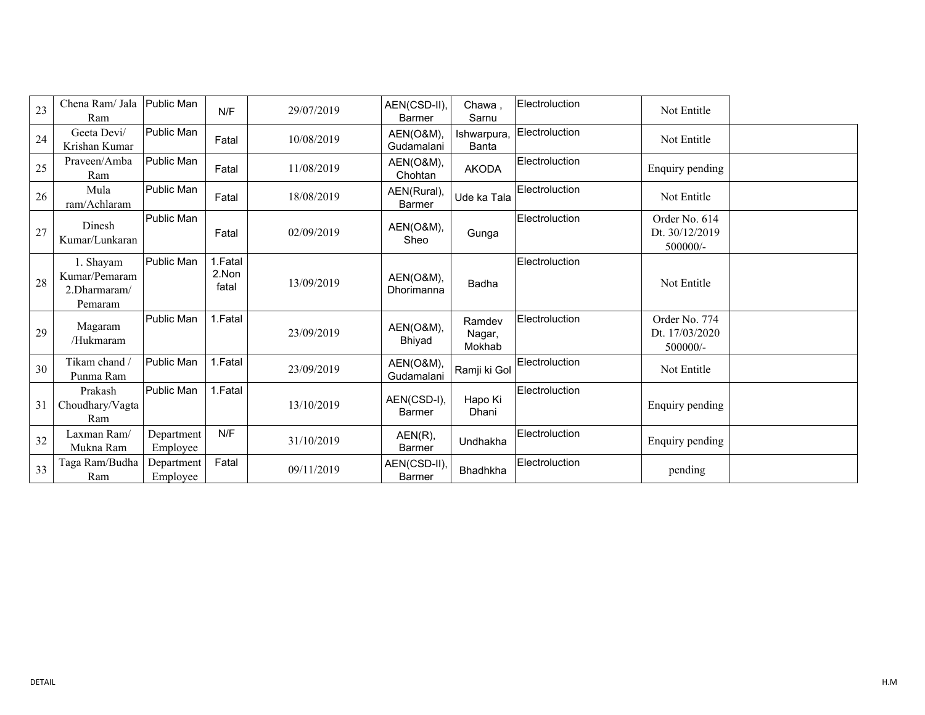| 23 | Chena Ram/ Jala<br>Ram                                | Public Man             | N/F                       | 29/07/2019 | AEN(CSD-II),<br><b>Barmer</b> | Chawa,<br>Sarnu             | Electroluction | Not Entitle                                 |  |
|----|-------------------------------------------------------|------------------------|---------------------------|------------|-------------------------------|-----------------------------|----------------|---------------------------------------------|--|
| 24 | Geeta Devi/<br>Krishan Kumar                          | Public Man             | Fatal                     | 10/08/2019 | AEN(O&M),<br>Gudamalani       | Ishwarpura,<br><b>Banta</b> | Electroluction | Not Entitle                                 |  |
| 25 | Praveen/Amba<br>Ram                                   | Public Man             | Fatal                     | 11/08/2019 | AEN(O&M),<br>Chohtan          | <b>AKODA</b>                | Electroluction | Enquiry pending                             |  |
| 26 | Mula<br>ram/Achlaram                                  | Public Man             | Fatal                     | 18/08/2019 | AEN(Rural),<br><b>Barmer</b>  | Ude ka Tala                 | Electroluction | Not Entitle                                 |  |
| 27 | Dinesh<br>Kumar/Lunkaran                              | Public Man             | Fatal                     | 02/09/2019 | AEN(O&M),<br>Sheo             | Gunga                       | Electroluction | Order No. 614<br>Dt. 30/12/2019<br>500000/- |  |
| 28 | 1. Shayam<br>Kumar/Pemaram<br>2.Dharmaram/<br>Pemaram | Public Man             | 1.Fatal<br>2.Non<br>fatal | 13/09/2019 | AEN(O&M),<br>Dhorimanna       | Badha                       | Electroluction | Not Entitle                                 |  |
| 29 | Magaram<br>/Hukmaram                                  | Public Man             | 1.Fatal                   | 23/09/2019 | AEN(O&M),<br>Bhiyad           | Ramdev<br>Nagar,<br>Mokhab  | Electroluction | Order No. 774<br>Dt. 17/03/2020<br>500000/- |  |
| 30 | Tikam chand<br>Punma Ram                              | Public Man             | 1. Fatal                  | 23/09/2019 | AEN(O&M),<br>Gudamalani       | Ramji ki Gol                | Electroluction | Not Entitle                                 |  |
| 31 | Prakash<br>Choudhary/Vagta<br>Ram                     | Public Man             | 1.Fatal                   | 13/10/2019 | AEN(CSD-I),<br><b>Barmer</b>  | Hapo Ki<br>Dhani            | Electroluction | Enquiry pending                             |  |
| 32 | Laxman Ram/<br>Mukna Ram                              | Department<br>Employee | N/F                       | 31/10/2019 | AEN(R),<br><b>Barmer</b>      | Undhakha                    | Electroluction | Enquiry pending                             |  |
| 33 | Taga Ram/Budha<br>Ram                                 | Department<br>Employee | Fatal                     | 09/11/2019 | AEN(CSD-II),<br>Barmer        | Bhadhkha                    | Electroluction | pending                                     |  |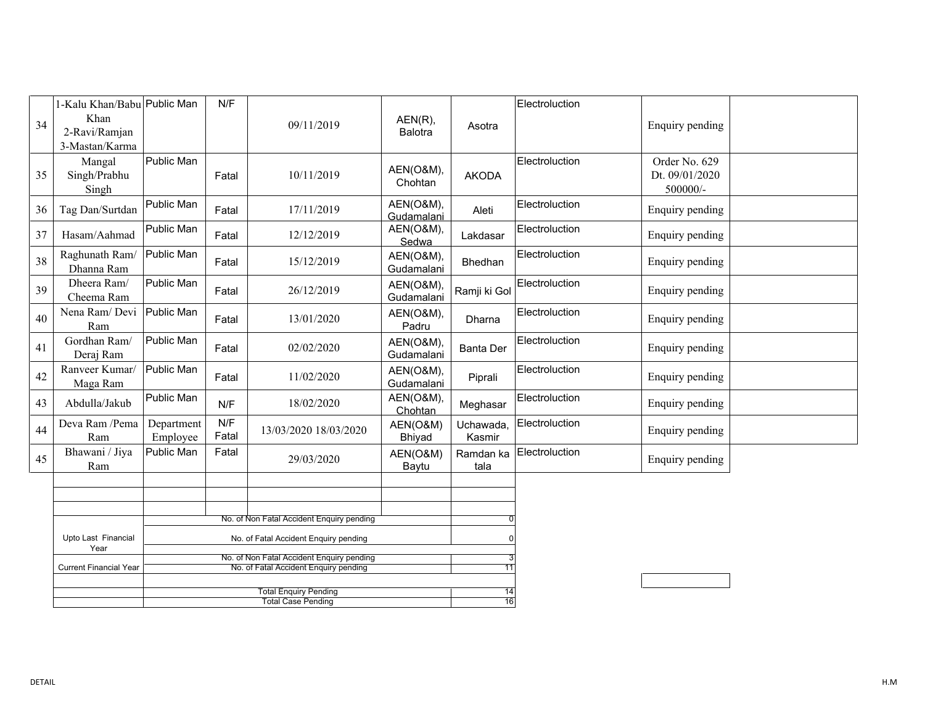|    | 1-Kalu Khan/Babu Public Man     | N/F                                   |              |                                                                                    |                                    | Electroluction      |                |                                             |  |
|----|---------------------------------|---------------------------------------|--------------|------------------------------------------------------------------------------------|------------------------------------|---------------------|----------------|---------------------------------------------|--|
| 34 | Khan<br>2-Ravi/Ramjan           |                                       |              | 09/11/2019                                                                         | $AEN(R)$ ,<br><b>Balotra</b>       | Asotra              |                | Enquiry pending                             |  |
|    | 3-Mastan/Karma                  |                                       |              |                                                                                    |                                    |                     |                |                                             |  |
| 35 | Mangal<br>Singh/Prabhu<br>Singh | Public Man                            | Fatal        | 10/11/2019                                                                         | AEN(O&M),<br>Chohtan               | <b>AKODA</b>        | Electroluction | Order No. 629<br>Dt. 09/01/2020<br>500000/- |  |
| 36 | Tag Dan/Surtdan                 | Public Man                            | Fatal        | 17/11/2019                                                                         | AEN(O&M),<br>Gudamalani            | Aleti               | Electroluction | Enquiry pending                             |  |
| 37 | Hasam/Aahmad                    | Public Man                            | Fatal        | 12/12/2019                                                                         | AEN(O&M),<br>Sedwa                 | Lakdasar            | Electroluction | Enquiry pending                             |  |
| 38 | Raghunath Ram/<br>Dhanna Ram    | Public Man                            | Fatal        | 15/12/2019                                                                         | AEN(O&M),<br>Gudamalani            | Bhedhan             | Electroluction | Enquiry pending                             |  |
| 39 | Dheera Ram/<br>Cheema Ram       | Public Man                            | Fatal        | 26/12/2019                                                                         | AEN(O&M),<br>Gudamalani            | Ramji ki Gol        | Electroluction | Enquiry pending                             |  |
| 40 | Nena Ram/Devi<br>Ram            | Public Man                            | Fatal        | 13/01/2020                                                                         | AEN(O&M),<br>Padru                 | Dharna              | Electroluction | Enquiry pending                             |  |
| 41 | Gordhan Ram/<br>Deraj Ram       | Public Man                            | Fatal        | 02/02/2020                                                                         | AEN(O&M),<br>Gudamalani            | <b>Banta Der</b>    | Electroluction | Enquiry pending                             |  |
| 42 | Ranveer Kumar/<br>Maga Ram      | Public Man                            | Fatal        | 11/02/2020                                                                         | <b>AEN(O&amp;M),</b><br>Gudamalani | Piprali             | Electroluction | Enquiry pending                             |  |
| 43 | Abdulla/Jakub                   | Public Man                            | N/F          | 18/02/2020                                                                         | AEN(O&M),<br>Chohtan               | Meghasar            | Electroluction | Enquiry pending                             |  |
| 44 | Deva Ram /Pema<br>Ram           | Department<br>Employee                | N/F<br>Fatal | 13/03/2020 18/03/2020                                                              | AEN(O&M)<br>Bhiyad                 | Uchawada,<br>Kasmir | Electroluction | Enquiry pending                             |  |
| 45 | Bhawani / Jiya<br>Ram           | Public Man                            | Fatal        | 29/03/2020                                                                         | AEN(O&M)<br>Baytu                  | Ramdan ka<br>tala   | Electroluction | Enquiry pending                             |  |
|    |                                 |                                       |              |                                                                                    |                                    |                     |                |                                             |  |
|    |                                 |                                       |              |                                                                                    |                                    |                     |                |                                             |  |
|    |                                 |                                       |              | No. of Non Fatal Accident Enquiry pending                                          |                                    |                     |                |                                             |  |
|    | Upto Last Financial<br>Year     | No. of Fatal Accident Enquiry pending |              |                                                                                    |                                    |                     |                |                                             |  |
|    | <b>Current Financial Year</b>   |                                       |              | No. of Non Fatal Accident Enquiry pending<br>No. of Fatal Accident Enquiry pending |                                    | 11                  |                |                                             |  |
|    |                                 |                                       |              |                                                                                    |                                    |                     |                |                                             |  |
|    |                                 |                                       |              | <b>Total Enquiry Pending</b><br><b>Total Case Pending</b>                          |                                    | 14<br>16            |                |                                             |  |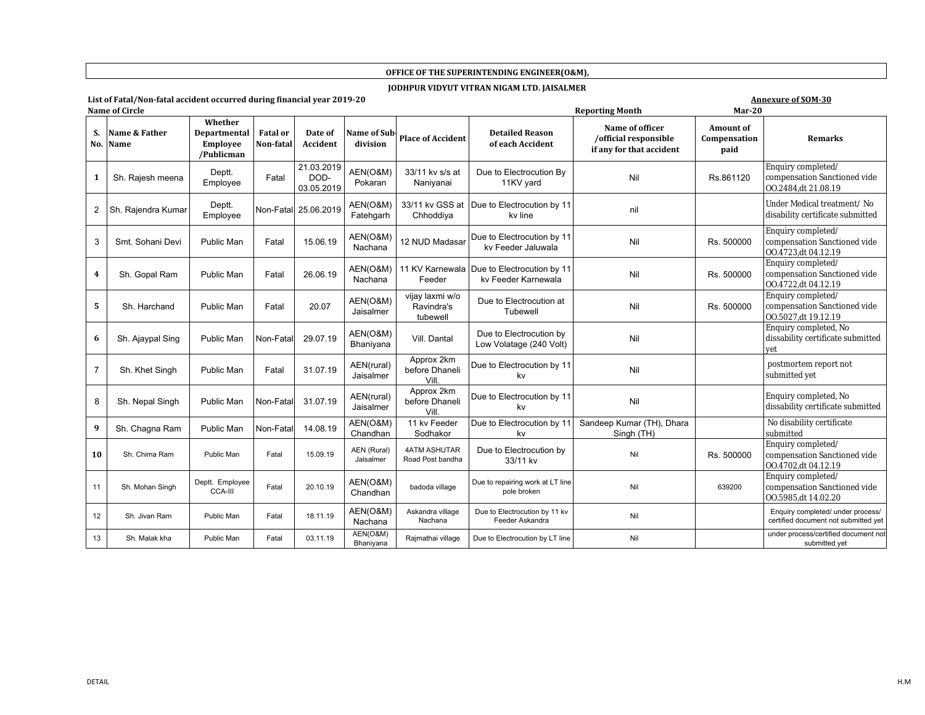#### **OFFICE OF THE SUPERINTENDING ENGINEER(O&M),**

#### **JODHPUR VIDYUT VITRAN NIGAM LTD. JAISALMER**

# **List of Fatal/Non-fatal accident occurred during financial year 2019-20 Annexure of SOM-30**

|     | <b>Annexure of SOM-30</b> |
|-----|---------------------------|
| n o |                           |

|                | Name of Circle               |                                                          |                              | $Mar-20$<br><b>Reporting Month</b> |                          |                                           |                                                                   |                                                                      |                                          |                                                                           |
|----------------|------------------------------|----------------------------------------------------------|------------------------------|------------------------------------|--------------------------|-------------------------------------------|-------------------------------------------------------------------|----------------------------------------------------------------------|------------------------------------------|---------------------------------------------------------------------------|
| S.<br>No.      | Name & Father<br><b>Name</b> | Whether<br>Departmental<br><b>Employee</b><br>/Publicman | <b>Fatal</b> or<br>Non-fatal | Date of<br><b>Accident</b>         | Name of Sub<br>division  | <b>Place of Accident</b>                  | <b>Detailed Reason</b><br>of each Accident                        | Name of officer<br>/official responsible<br>if any for that accident | <b>Amount of</b><br>Compensation<br>paid | <b>Remarks</b>                                                            |
| 1              | Sh. Rajesh meena             | Deptt.<br>Employee                                       | Fatal                        | 21.03.2019<br>DOD-<br>03.05.2019   | AEN(O&M)<br>Pokaran      | 33/11 kv s/s at<br>Naniyanai              | Due to Electrocution By<br>11KV yard                              | Nil                                                                  | Rs.861120                                | Enquiry completed/<br>compensation Sanctioned vide<br>00.2484.dt 21.08.19 |
| $\overline{2}$ | Sh. Rajendra Kumar           | Deptt.<br>Employee                                       |                              | Non-Fatal 25.06.2019               | AEN(O&M)<br>Fatehgarh    | Chhoddiya                                 | 33/11 kv GSS at Due to Electrocution by 11<br>kv line             | nil                                                                  |                                          | Under Medical treatment/ No<br>disability certificate submitted           |
| 3              | Smt. Sohani Devi             | Public Man                                               | Fatal                        | 15.06.19                           | AEN(O&M)<br>Nachana      | 12 NUD Madasar                            | Due to Electrocution by 11<br>kv Feeder Jaluwala                  | Nil                                                                  | Rs. 500000                               | Enquiry completed/<br>compensation Sanctioned vide<br>00.4723.dt 04.12.19 |
| 4              | Sh. Gopal Ram                | <b>Public Man</b>                                        | Fatal                        | 26.06.19                           | AEN(O&M)<br>Nachana      | Feeder                                    | 11 KV Karnewala Due to Electrocution by 11<br>kv Feeder Karnewala | Nil                                                                  | Rs. 500000                               | Enquiry completed/<br>compensation Sanctioned vide<br>00.4722,dt 04.12.19 |
| 5              | Sh. Harchand                 | Public Man                                               | Fatal                        | 20.07                              | AEN(O&M)<br>Jaisalmer    | vijay laxmi w/o<br>Ravindra's<br>tubewell | Due to Electrocution at<br>Tubewell                               | Nil                                                                  | Rs. 500000                               | Enquiry completed/<br>compensation Sanctioned vide<br>00.5027,dt 19.12.19 |
| 6              | Sh. Ajaypal Sing             | Public Man                                               | Non-Fatal                    | 29.07.19                           | AEN(O&M)<br>Bhaniyana    | Vill. Dantal                              | Due to Electrocution by<br>Low Volatage (240 Volt)                | Nil                                                                  |                                          | Enquiry completed, No<br>dissability certificate submitted                |
| $\overline{7}$ | Sh. Khet Singh               | Public Man                                               | Fatal                        | 31.07.19                           | AEN(rural)<br>Jaisalmer  | Approx 2km<br>before Dhaneli<br>Vill.     | Due to Electrocution by 11<br>kv                                  | Nil                                                                  |                                          | postmortem report not<br>submitted yet                                    |
| 8              | Sh. Nepal Singh              | Public Man                                               | Non-Fatal                    | 31.07.19                           | AEN(rural)<br>Jaisalmer  | Approx 2km<br>before Dhaneli<br>Vill.     | Due to Electrocution by 11<br>kv                                  | Nil                                                                  |                                          | Enquiry completed, No<br>dissability certificate submitted                |
| 9              | Sh. Chagna Ram               | Public Man                                               | Non-Fatal                    | 14.08.19                           | AEN(O&M)<br>Chandhan     | 11 kv Feeder<br>Sodhakor                  | Due to Electrocution by 11<br>kv                                  | Sandeep Kumar (TH), Dhara<br>Singh (TH)                              |                                          | No disability certificate<br>submitted                                    |
| 10             | Sh. Chima Ram                | Public Man                                               | Fatal                        | 15.09.19                           | AEN (Rural)<br>Jaisalmer | 4ATM ASHUTAR<br>Road Post bandha          | Due to Electrocution by<br>33/11 kv                               | Nil                                                                  | Rs. 500000                               | Enquiry completed/<br>compensation Sanctioned vide<br>00.4702,dt 04.12.19 |
| 11             | Sh. Mohan Singh              | Deptt. Employee<br><b>CCA-III</b>                        | Fatal                        | 20.10.19                           | AEN(O&M)<br>Chandhan     | badoda village                            | Due to repairing work at LT line<br>pole broken                   | Nil                                                                  | 639200                                   | Enquiry completed/<br>compensation Sanctioned vide<br>00.5985,dt 14.02.20 |
| 12             | Sh. Jivan Ram                | Public Man                                               | Fatal                        | 18.11.19                           | AEN(O&M)<br>Nachana      | Askandra village<br>Nachana               | Due to Electrocution by 11 kv<br>Feeder Askandra                  | Nil                                                                  |                                          | Enquiry completed/ under process/<br>certified document not submitted yet |
| 13             | Sh. Malak kha                | Public Man                                               | Fatal                        | 03.11.19                           | AEN(O&M)<br>Bhaniyana    | Rajmathai village                         | Due to Electrocution by LT line                                   | Nil                                                                  |                                          | under process/certified document not<br>submitted yet                     |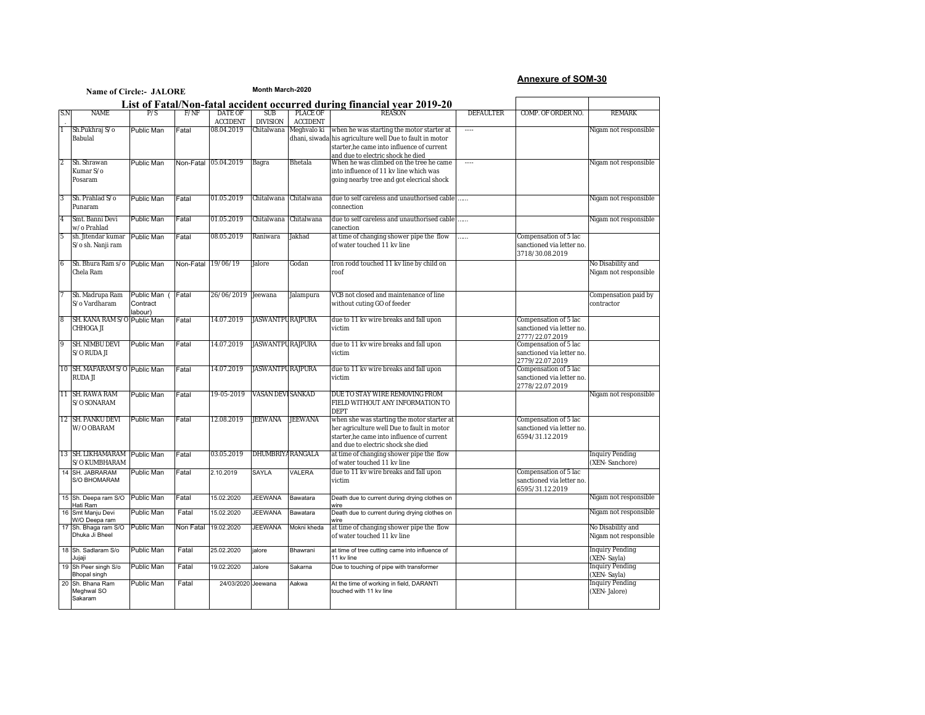### **Annexure of SOM-30**

|                |                                             | <b>Name of Circle:- JALORE</b>           |                    |                            | Month March-2020         |                             |                                                                                                                                                                                          |                  |                                                                       |                                            |
|----------------|---------------------------------------------|------------------------------------------|--------------------|----------------------------|--------------------------|-----------------------------|------------------------------------------------------------------------------------------------------------------------------------------------------------------------------------------|------------------|-----------------------------------------------------------------------|--------------------------------------------|
|                |                                             |                                          |                    |                            |                          |                             | List of Fatal/Non-fatal accident occurred during financial year 2019-20                                                                                                                  |                  |                                                                       |                                            |
| S.N            | <b>NAME</b>                                 | P/S                                      | F/NF               | DATE OF<br><b>ACCIDENT</b> | SUB<br><b>DIVISION</b>   | PLACE OF<br><b>ACCIDENT</b> | <b>REASON</b>                                                                                                                                                                            | <b>DEFAULTER</b> | COMP. OF ORDER NO.                                                    | <b>RFMARK</b>                              |
|                | Sh.Pukhraj S/o<br>Babulal                   | Public Man                               | Fatal              | 08.04.2019                 | Chitalwana               | Meghvalo ki                 | when he was starting the motor starter at<br>dhani, siwada his agriculture well Due to fault in motor<br>starter, he came into influence of current<br>and due to electric shock he died | $\cdots$         |                                                                       | Nigam not responsible                      |
| $\overline{2}$ | Sh. Shrawan<br>Kumar S/o<br>Posaram         | Public Man                               | Non-Fatal          | 05.04.2019                 | Bagra                    | Bhetala                     | When he was climbed on the tree he came<br>into influence of 11 kv line which was<br>going nearby tree and got elecrical shock                                                           | $\cdots$         |                                                                       | Nigam not responsible                      |
| 3              | Sh. Prahlad S/o<br>Punaram                  | Public Man                               | Fatal              | 01.05.2019                 |                          | Chitalwana Chitalwana       | due to self careless and unauthorised cable<br>connection                                                                                                                                | .                |                                                                       | Nigam not responsible                      |
| $\overline{4}$ | Smt. Banni Devi<br>w/o Prahlad              | <b>Public Man</b>                        | Fatal              | 01.05.2019                 |                          | Chitalwana Chitalwana       | due to self careless and unauthorised cable<br>canection                                                                                                                                 |                  |                                                                       | Nigam not responsible                      |
| 5              | sh. Jitendar kumar<br>S/o sh. Nanji ram     | Public Man                               | Fatal              | 08.05.2019                 | Raniwara                 | Jakhad                      | at time of changing shower pipe the flow<br>of water touched 11 kv line                                                                                                                  | .                | Compensation of 5 lac<br>sanctioned via letter no.<br>3718/30.08.2019 |                                            |
| 6              | Sh. Bhura Ram s/o<br>Chela Ram              | Public Man                               | Non-Fatal 19/06/19 |                            | Jalore                   | Godan                       | Iron rodd touched 11 kv line by child on<br>roof                                                                                                                                         |                  |                                                                       | No Disability and<br>Nigam not responsible |
|                | Sh. Madrupa Ram<br>S/o Vardharam            | Public Man (Fatal<br>Contract<br>labour) |                    | 26/06/2019                 | Jeewana                  | Jalampura                   | VCB not closed and maintenance of line<br>without cuting GO of feeder                                                                                                                    |                  |                                                                       | Compensation paid by<br>contractor         |
| 8              | SH. KANA RAM S/O Public Man<br>CHHOGA JI    |                                          | Fatal              | 14.07.2019                 | <b>JASWANTPU RAJPURA</b> |                             | due to 11 kv wire breaks and fall upon<br>victim                                                                                                                                         |                  | Compensation of 5 lac<br>sanctioned via letter no.<br>2777/22.07.2019 |                                            |
| 9              | SH. NIMBU DEVI<br>S/O RUDA JI               | Public Man                               | Fatal              | 14.07.2019                 | <b>JASWANTPU RAJPURA</b> |                             | due to 11 kv wire breaks and fall upon<br>victim                                                                                                                                         |                  | Compensation of 5 lac<br>sanctioned via letter no.<br>2779/22.07.2019 |                                            |
|                | 10 SH. MAFARAM S/O Public Man<br>RUDA JI    |                                          | Fatal              | 14.07.2019                 | <b>JASWANTPU RAJPURA</b> |                             | due to 11 kv wire breaks and fall upon<br>victim                                                                                                                                         |                  | Compensation of 5 lac<br>sanctioned via letter no.<br>2778/22.07.2019 |                                            |
|                | 11 SH. RAWA RAM<br>S/O SONARAM              | Public Man                               | Fatal              | 19-05-2019                 | <b>VASAN DEVI SANKAD</b> |                             | DUE TO STAY WIRE REMOVING FROM<br>FIELD WITHOUT ANY INFORMATION TO<br><b>DEPT</b>                                                                                                        |                  |                                                                       | Nigam not responsible                      |
|                | 12 SH. PANKU DEVI<br>W/O OBARAM             | Public Man                               | Fatal              | 12.08.2019                 | <b>JEEWANA</b>           | <b>JEEWANA</b>              | when she was starting the motor starter at<br>her agriculture well Due to fault in motor<br>starter.he came into influence of current<br>and due to electric shock she died              |                  | Compensation of 5 lac<br>sanctioned via letter no.<br>6594/31.12.2019 |                                            |
|                | 13 SH. LIKHAMARAM<br>S/O KUMBHARAM          | <b>Public Man</b>                        | Fatal              | 03.05.2019                 | DHUMBRIYA RANGALA        |                             | at time of changing shower pipe the flow<br>of water touched 11 kv line                                                                                                                  |                  |                                                                       | <b>Inquiry Pending</b><br>(XEN-Sanchore)   |
|                | 14 SH. JABRARAM<br><b>S/O BHOMARAM</b>      | <b>Public Man</b>                        | Fatal              | 2.10.2019                  | SAYLA                    | VALERA                      | due to 11 kv wire breaks and fall upon<br>victim                                                                                                                                         |                  | Compensation of 5 lac<br>sanctioned via letter no.<br>6595/31.12.2019 |                                            |
|                | 15 Sh. Deepa ram S/O<br>Hati Ram            | Public Man                               | Fatal              | 15.02.2020                 | <b>JEEWANA</b>           | Bawatara                    | Death due to current during drying clothes on<br>wire                                                                                                                                    |                  |                                                                       | Nigam not responsible                      |
|                | 16 Smt Manju Devi<br>W/O Deepa ram          | Public Man                               | Fatal              | 15.02.2020                 | <b>JEEWANA</b>           | Bawatara                    | Death due to current during drying clothes on<br>wire                                                                                                                                    |                  |                                                                       | Nigam not responsible                      |
|                | 17 Sh. Bhaga ram S/O<br>Dhuka Ji Bheel      | <b>Public Man</b>                        | Non Fatal          | 19.02.2020                 | <b>JEEWANA</b>           | Mokni kheda                 | at time of changing shower pipe the flow<br>of water touched 11 kv line                                                                                                                  |                  |                                                                       | No Disability and<br>Nigam not responsible |
|                | 18 Sh. Sadlaram S/o<br>Jujaji               | Public Man                               | Fatal              | 25.02.2020                 | jalore                   | Bhawrani                    | at time of tree cutting came into influence of<br>11 kv line                                                                                                                             |                  |                                                                       | <b>Inquiry Pending</b><br>(XEN-Sayla)      |
|                | 19 Sh Peer singh S/o<br><b>Bhopal singh</b> | Public Man                               | Fatal              | 19.02.2020                 | Jalore                   | Sakarna                     | Due to touching of pipe with transformer                                                                                                                                                 |                  |                                                                       | <b>Inquiry Pending</b><br>(XEN-Sayla)      |
|                | 20 Sh. Bhana Ram<br>Meghwal SO<br>Sakaram   | Public Man                               | Fatal              | 24/03/2020                 | Jeewana                  | Aakwa                       | At the time of working in field, DARANTI<br>touched with 11 kv line                                                                                                                      |                  |                                                                       | <b>Inquiry Pending</b><br>(XEN-Jalore)     |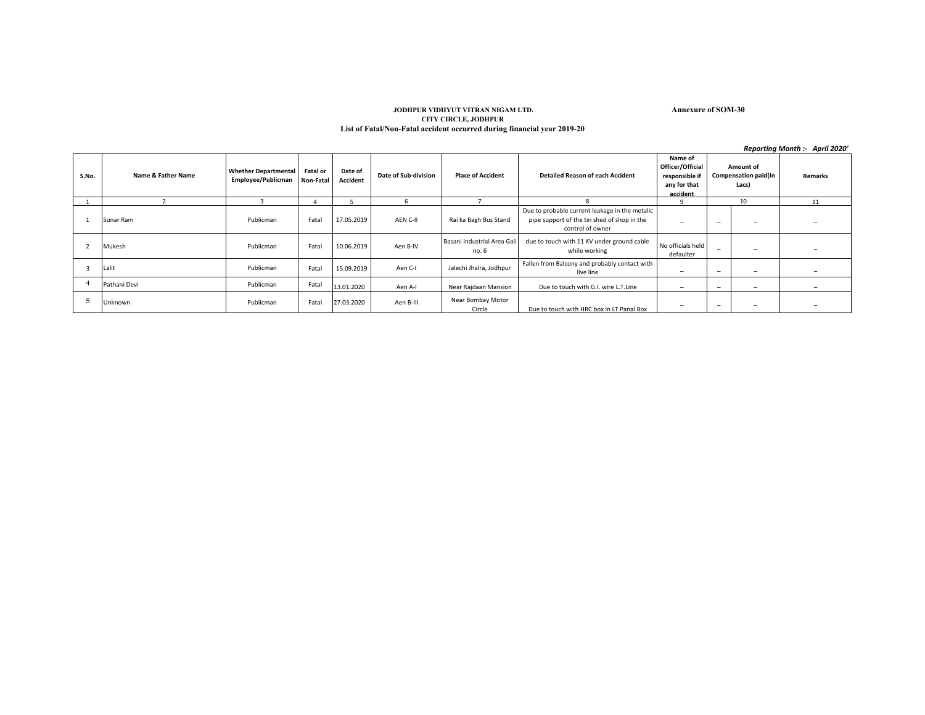### **JODHPUR VIDHYUT VITRAN NIGAM LTD. Annexure of SOM-30 CITY CIRCLE, JODHPUR List of Fatal/Non-Fatal accident occurred during financial year 2019-20**

|       |                    |                                                   |                              |                     |                      |                                      |                                                                                                                   |                                                                           |                          |                                                   | Reporting Month :- April 2020' |
|-------|--------------------|---------------------------------------------------|------------------------------|---------------------|----------------------|--------------------------------------|-------------------------------------------------------------------------------------------------------------------|---------------------------------------------------------------------------|--------------------------|---------------------------------------------------|--------------------------------|
| S.No. | Name & Father Name | <b>Whether Departmental</b><br>Employee/Publicman | <b>Fatal or</b><br>Non-Fatal | Date of<br>Accident | Date of Sub-division | <b>Place of Accident</b>             | <b>Detailed Reason of each Accident</b>                                                                           | Name of<br>Officer/Official<br>responsible if<br>any for that<br>accident |                          | <b>Amount of</b><br>Compensation paid(In<br>Lacs) | Remarks                        |
|       |                    |                                                   |                              |                     | 6                    | $\overline{\phantom{a}}$             | $\mathbf{R}$                                                                                                      | q                                                                         |                          | 10                                                | 11                             |
|       | Sunar Ram          | Publicman                                         | Fatal                        | 17.05.2019          | AEN C-II             | Rai ka Bagh Bus Stand                | Due to probable current leakage in the metalic<br>pipe support of the tin shed of shop in the<br>control of owner | -                                                                         | $\overline{\phantom{0}}$ | $\overline{\phantom{0}}$                          |                                |
|       | Mukesh             | Publicman                                         | Fatal                        | 10.06.2019          | Aen B-IV             | Basani Industrial Area Gali<br>no. 6 | due to touch with 11 KV under ground cable<br>while working                                                       | No officials held<br>defaulter                                            | $\overline{\phantom{0}}$ | $\overline{\phantom{0}}$                          |                                |
|       | Lalit              | Publicman                                         | Fatal                        | 15.09.2019          | Aen C-I              | Jalechi Jhalra, Jodhpur              | Fallen from Balcony and probably contact with<br>live line                                                        | $\overline{\phantom{m}}$                                                  | $\overline{\phantom{a}}$ | $\overline{\phantom{m}}$                          | $\overline{\phantom{a}}$       |
|       | Pathani Devi       | Publicman                                         | Fatal                        | 13.01.2020          | Aen A-I              | Near Rajdaan Mansion                 | Due to touch with G.I. wire L.T.Line                                                                              | $\overline{\phantom{a}}$                                                  | $\overline{\phantom{a}}$ | $\overline{\phantom{a}}$                          | $\overline{\phantom{a}}$       |
|       | Unknown            | Publicman                                         | Fatal                        | 27.03.2020          | Aen B-III            | Near Bombay Motor<br>Circle          | Due to touch with HRC box in LT Panal Box                                                                         | $\overline{\phantom{m}}$                                                  | $\overline{\phantom{0}}$ | $\overline{\phantom{m}}$                          |                                |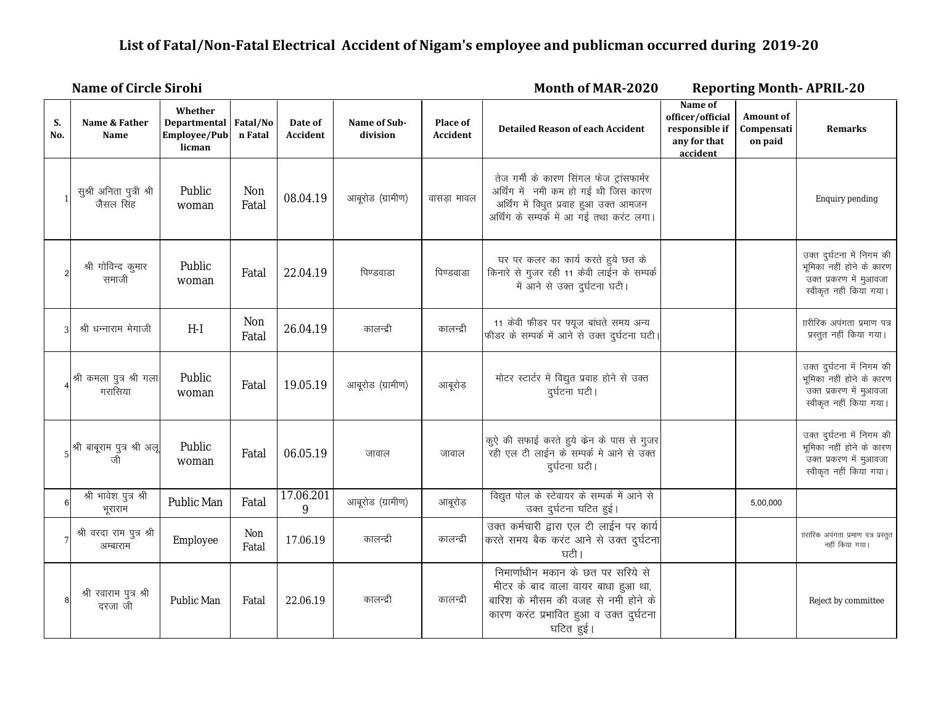# **List of Fatal/Non-Fatal Electrical Accident of Nigam's employee and publicman occurred during 2019-20**

#### **Month of MAR-2020 Name of Circle Sirohi Reporting Month- APRIL-20 Reporting Month- APRIL-20**

| S.<br>No.      | Name & Father<br><b>Name</b>                                                                                                            | Whether<br>Departmental Fatal/No<br>Employee/Pub<br>licman | n Fatal      | Date of<br>Accident | Name of Sub-<br>division | Place of<br>Accident | <b>Detailed Reason of each Accident</b>                                                                                                                                 | Name of<br>officer/official<br>responsible if<br>any for that<br>accident | <b>Amount of</b><br>Compensati<br>on paid | <b>Remarks</b>                                                                                                |
|----------------|-----------------------------------------------------------------------------------------------------------------------------------------|------------------------------------------------------------|--------------|---------------------|--------------------------|----------------------|-------------------------------------------------------------------------------------------------------------------------------------------------------------------------|---------------------------------------------------------------------------|-------------------------------------------|---------------------------------------------------------------------------------------------------------------|
|                | सुश्री अनिता पुत्री श्री<br>जैसल सिंह                                                                                                   | Public<br>woman                                            | Non<br>Fatal | 08.04.19            | आबूरोड (ग्रामीण)         | वासडा मावल           | तेज गर्मी के कारण सिंगल फेज ट्रांसफार्मर<br>अर्थिंग में नमी कम हो गई थी जिस कारण<br>अर्थिंग में विधुत प्रवाह हुआ उक्त आमजन<br>अर्थिंग के सम्पर्क में आ गई तथा करंट लगा। |                                                                           |                                           | Enquiry pending                                                                                               |
| $\overline{2}$ | श्री गोविन्द कुमार<br>समाजी                                                                                                             | Public<br>woman                                            | Fatal        | 22.04.19            | पिण्डवाडा                | पिण्डवाडा            | घर पर कलर का कार्य करते हुये छत के<br>किनारे से गुजर रही 11 केवी लाईन के सम्पर्क<br>में आने से उक्त दुर्घटना घटी।                                                       |                                                                           |                                           | उक्त दुर्घटना में निगम की<br>भूमिका नहीं होने के कारण<br>उक्त प्रकरण में मुआवजा<br>स्वीकृत नहीं किया गया।     |
| 3              | श्री धन्नाराम मेगाजी                                                                                                                    | $H-I$                                                      | Non<br>Fatal | 26.04.19            | कालन्द्री                | कालन्द्री            | 11 केवी फीडर पर फ्यूज बांधते समय अन्य<br>फीडर के सम्पर्क में आने से उक्त दुर्घटना घटी।                                                                                  |                                                                           |                                           | ाारीरिक अपंगता प्रमाण पत्र<br>प्रस्तुत नहीं किया गया।                                                         |
|                | श्री कमला पुत्र श्री गला<br>गरासिया                                                                                                     | Public<br>woman                                            | Fatal        | 19.05.19            | आबूरोड (ग्रामीण)         | आबूरोड़              | मोटर स्टार्टर में विद्युत प्रवाह होने से उक्त<br>दुर्घटना घटी।                                                                                                          |                                                                           |                                           | उक्त दुर्घटना में निगम की<br>भूमिका नहीं होने के कारण<br>उक्त प्रकरण में मुआवजा<br>स्वीकृत नहीं किया गया।     |
|                | $5\left  \begin{array}{ccc} \frac{\sqrt{3}}{2} & \frac{\sqrt{3}}{2} \\ \frac{\sqrt{3}}{2} & \frac{\sqrt{3}}{2} \end{array} \right.$ ाती | Public<br>woman                                            | Fatal        | 06.05.19            | जावाल                    | जावाल                | कुऐ की सफाई करते हुये केन के पास से गुजर<br>रही एल टी लाईन के सम्पर्क मे आने से उक्त<br>दुर्घटना घटी।                                                                   |                                                                           |                                           | उक्त दुर्घटना में निगम की<br>भूमिका नहीं होने के कारण<br><br>उक्त प्रकरण में मुआवजा<br>स्वीकृत नहीं किया गया। |
| 6              | श्री भावेश पुत्र श्री<br>भूराराम                                                                                                        | Public Man                                                 | Fatal        | 17.06.201<br>9      | आबूरोड (ग्रामीण)         | आबूरोड़              | विद्युत पोल के स्टेवायर के सम्पर्क में आने से<br>उक्त दुर्घटना घटित हुई।                                                                                                |                                                                           | 5,00,000                                  |                                                                                                               |
|                | श्री वरदा राम पुत्र श्री<br>अम्बाराम                                                                                                    | Employee                                                   | Non<br>Fatal | 17.06.19            | कालन्दी                  | कालन्द्री            | उक्त कर्मचारी द्वारा एल टी लाईन पर कार्य<br>करते समय बैक करंट आने से उक्त दुर्घटना<br>घटी।                                                                              |                                                                           |                                           | ाारारिक अपंगता प्रमाण पत्र प्रस्तुत<br>नहीं किया गया।                                                         |
| 8              | श्री रवाराम पुत्र श्री<br>दरजा जी                                                                                                       | Public Man                                                 | Fatal        | 22.06.19            | कालन्द्री                | कालन्द्री            | निमार्णाधीन मकान के छत पर सरिये से<br>मीटर के बाद वाला वायर बाधा हुआ था,<br>बारिश के मौसम की वजह से नमी होने के<br>कारण करंट प्रभावित हुआ व उक्त दुर्घटना<br>घटित हुई।  |                                                                           |                                           | Reject by committee                                                                                           |